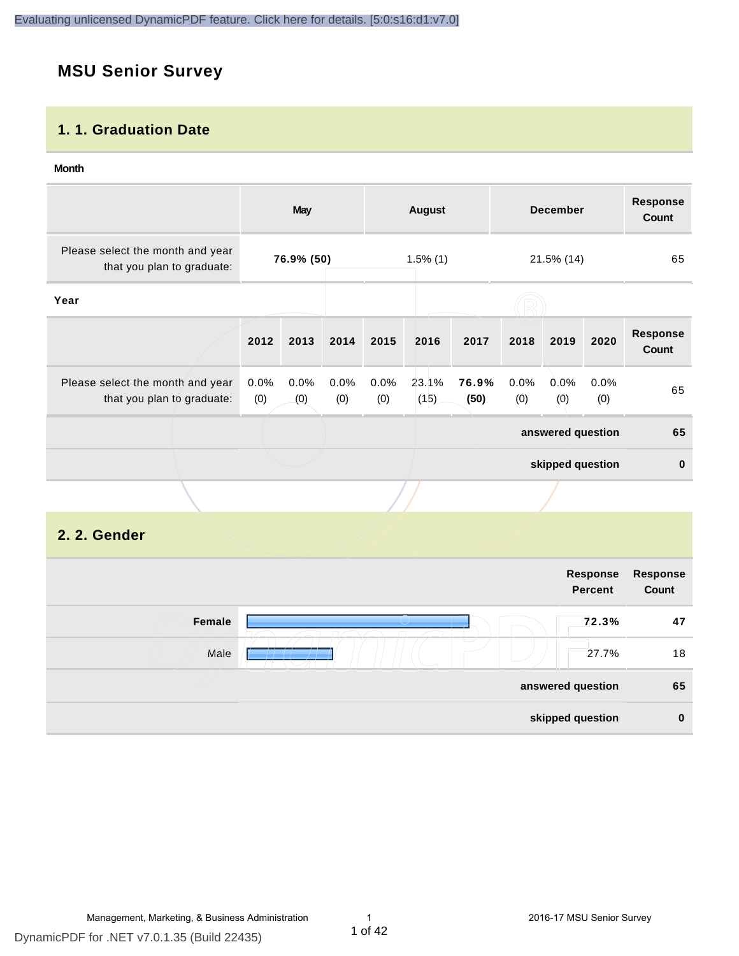# **MSU Senior Survey**

#### **1. 1. Graduation Date**

#### **Month**

|                                                                |                | May         |             |             | <b>August</b> |                  |                | <b>December</b>   |             | <b>Response</b><br>Count |
|----------------------------------------------------------------|----------------|-------------|-------------|-------------|---------------|------------------|----------------|-------------------|-------------|--------------------------|
| Please select the month and year<br>that you plan to graduate: |                | 76.9% (50)  |             |             | $1.5\%$ (1)   |                  | 21.5% (14)     |                   | 65          |                          |
| Year                                                           |                |             |             |             |               |                  |                |                   |             |                          |
|                                                                | 2012           | 2013        | 2014        | 2015        | 2016          | 2017             | 2018           | 2019              | 2020        | <b>Response</b><br>Count |
| Please select the month and year<br>that you plan to graduate: | $0.0\%$<br>(0) | 0.0%<br>(0) | 0.0%<br>(0) | 0.0%<br>(0) | 23.1%<br>(15) | 76.9%<br>(50)    | $0.0\%$<br>(0) | 0.0%<br>(0)       | 0.0%<br>(0) | 65                       |
|                                                                |                |             |             |             |               |                  |                | answered question |             | 65                       |
|                                                                |                |             |             |             |               | skipped question |                | $\mathbf 0$       |             |                          |
|                                                                |                |             |             |             |               |                  |                |                   |             |                          |

#### **2. 2. Gender**

|        | Response<br><b>Percent</b> | Response<br>Count |
|--------|----------------------------|-------------------|
| Female | 72.3%                      | 47                |
| Male   | 27.7%                      | 18                |
|        | answered question          | 65                |
|        | skipped question           | $\mathbf 0$       |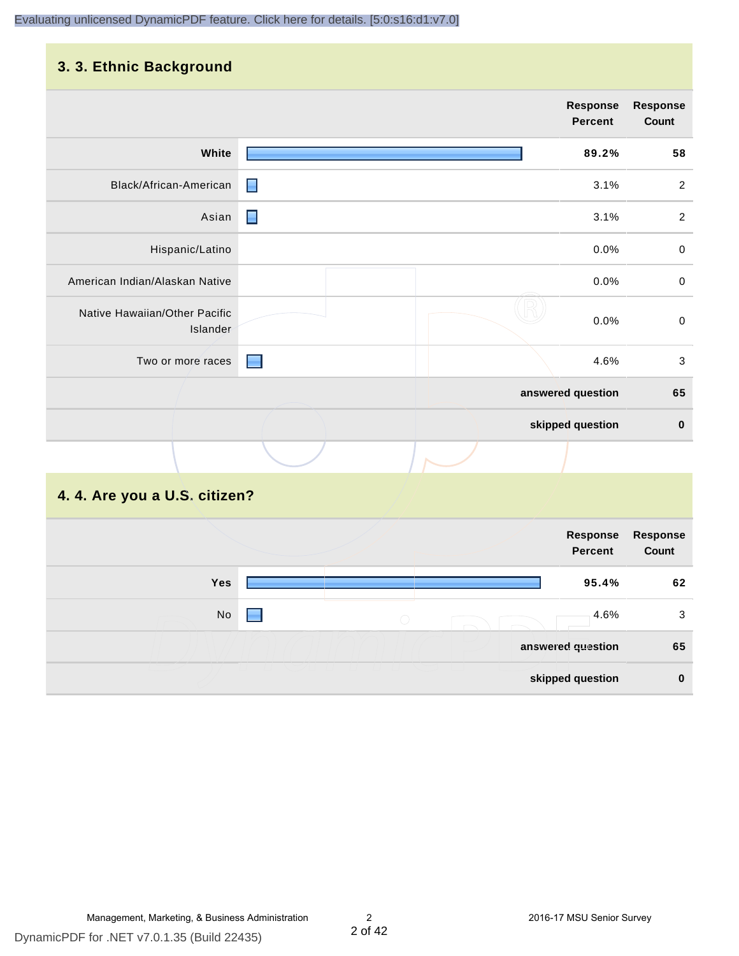#### **3. 3. Ethnic Background**

|                                           |                | <b>Response</b><br>Percent | <b>Response</b><br>Count |
|-------------------------------------------|----------------|----------------------------|--------------------------|
| White                                     |                | 89.2%                      | 58                       |
| Black/African-American                    | $\blacksquare$ | 3.1%                       | $\sqrt{2}$               |
| Asian                                     | $\blacksquare$ | 3.1%                       | $\overline{c}$           |
| Hispanic/Latino                           |                | 0.0%                       | $\,0\,$                  |
| American Indian/Alaskan Native            |                | 0.0%                       | $\mathbf 0$              |
| Native Hawaiian/Other Pacific<br>Islander |                | 0.0%                       | $\mbox{O}$               |
| Two or more races                         |                | 4.6%                       | $\mathbf{3}$             |
|                                           |                | answered question          | 65                       |
|                                           |                | skipped question           | $\bf{0}$                 |
|                                           |                |                            |                          |

# **4. 4. Are you a U.S. citizen?**

|     | Response<br><b>Percent</b> | <b>Response</b><br>Count |
|-----|----------------------------|--------------------------|
| Yes | 95.4%                      | 62                       |
| No  | 4.6%<br>$\bigcirc$         | 3                        |
|     | answered question          | 65                       |
|     | skipped question           | $\bf{0}$                 |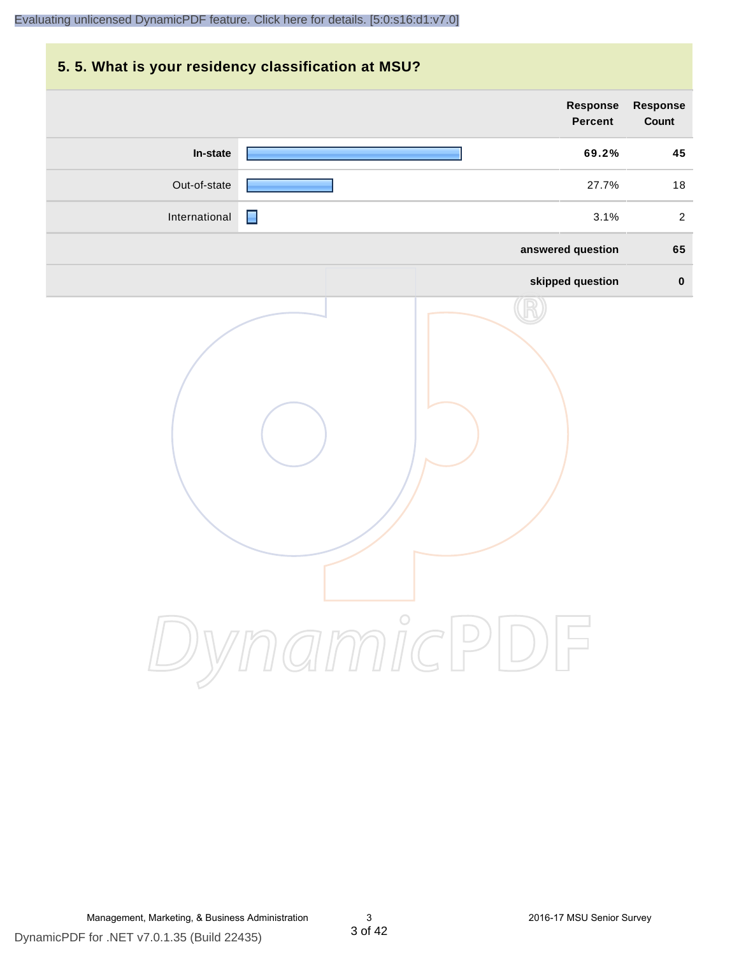# **5. 5. What is your residency classification at MSU? Response Response Percent Count In-state 69.2% 45** Out-of-state **27.7%** 18 International **International According to the Contract of Contract Contract Contract Contract Contract Contract Contract Contract Contract Contract Contract Contract Contract Contract Contract Contract Contract Contract Co answered question 65 skipped question 0** DynamicPDF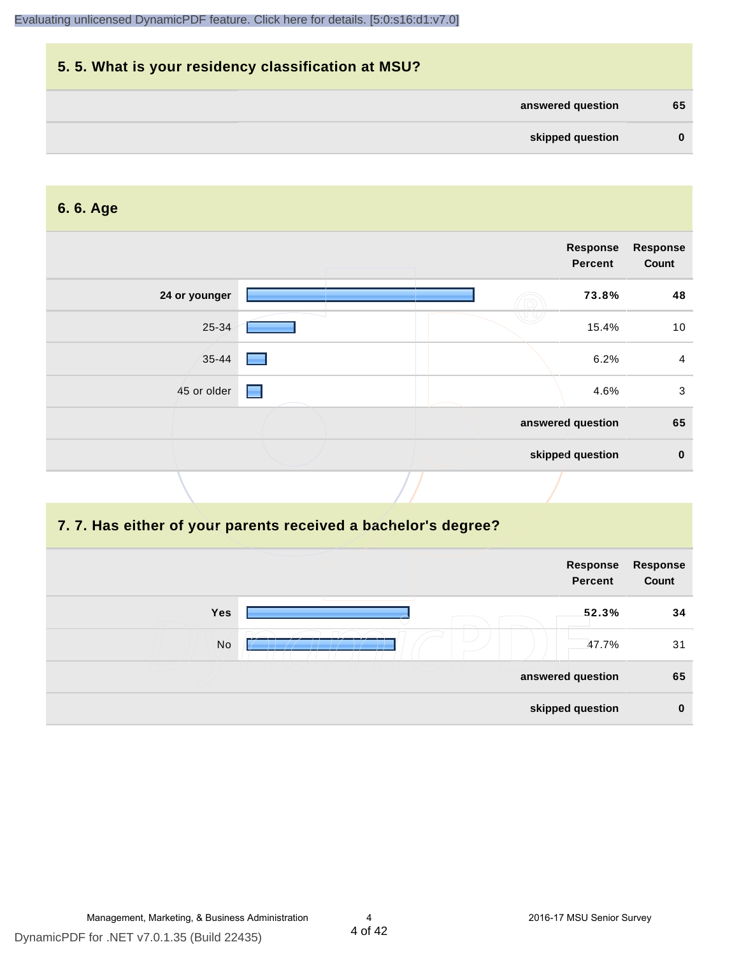| 5.5. What is your residency classification at MSU? |          |
|----------------------------------------------------|----------|
| answered question                                  | 65       |
| skipped question                                   | $\bf{0}$ |

#### **6. 6. Age**

|               |   | Response<br>Percent | <b>Response</b><br>Count |
|---------------|---|---------------------|--------------------------|
| 24 or younger |   | 73.8%               | 48                       |
| 25-34         |   | 15.4%               | 10                       |
| 35-44         |   | 6.2%                | 4                        |
| 45 or older   | Н | 4.6%                | $\mathbf{3}$             |
|               |   | answered question   | 65                       |
|               |   | skipped question    | $\mathbf 0$              |

#### **7. 7. Has either of your parents received a bachelor's degree?**

|     | Response<br><b>Percent</b> | Response<br>Count |
|-----|----------------------------|-------------------|
| Yes | 52.3%                      | 34                |
| No  | 47.7%                      | 31                |
|     | answered question          | 65                |
|     | skipped question           | $\bf{0}$          |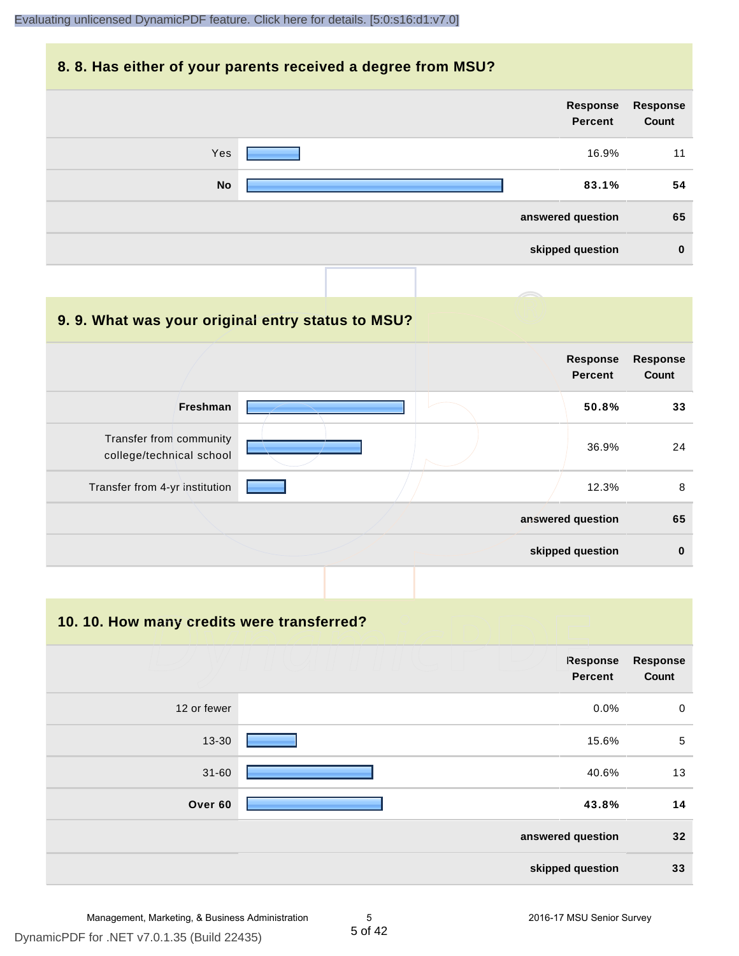#### **8. 8. Has either of your parents received a degree from MSU?**

| <b>Response</b><br>Count | Response<br>Percent |           |
|--------------------------|---------------------|-----------|
| 11                       | 16.9%               | Yes       |
| 54                       | 83.1%               | <b>No</b> |
| 65                       | answered question   |           |
| $\bf{0}$                 | skipped question    |           |
|                          |                     |           |

| 9.9. What was your original entry status to MSU?    |                                   |                          |
|-----------------------------------------------------|-----------------------------------|--------------------------|
|                                                     | <b>Response</b><br><b>Percent</b> | <b>Response</b><br>Count |
| Freshman                                            | 50.8%                             | 33                       |
| Transfer from community<br>college/technical school | 36.9%                             | 24                       |
| Transfer from 4-yr institution                      | 12.3%                             | 8                        |
|                                                     | answered question                 | 65                       |
|                                                     | skipped question                  | $\bf{0}$                 |

**10. 10. How many credits were transferred?**

|             | <b>Response</b><br><b>Percent</b> | <b>Response</b><br>Count |
|-------------|-----------------------------------|--------------------------|
| 12 or fewer | 0.0%                              | $\,0\,$                  |
| 13-30       | 15.6%                             | $\sqrt{5}$               |
| $31 - 60$   | 40.6%                             | 13                       |
| Over 60     | 43.8%                             | 14                       |
|             | answered question                 | 32                       |
|             | skipped question                  | 33                       |

DynamicPDF for .NET v7.0.1.35 (Build 22435)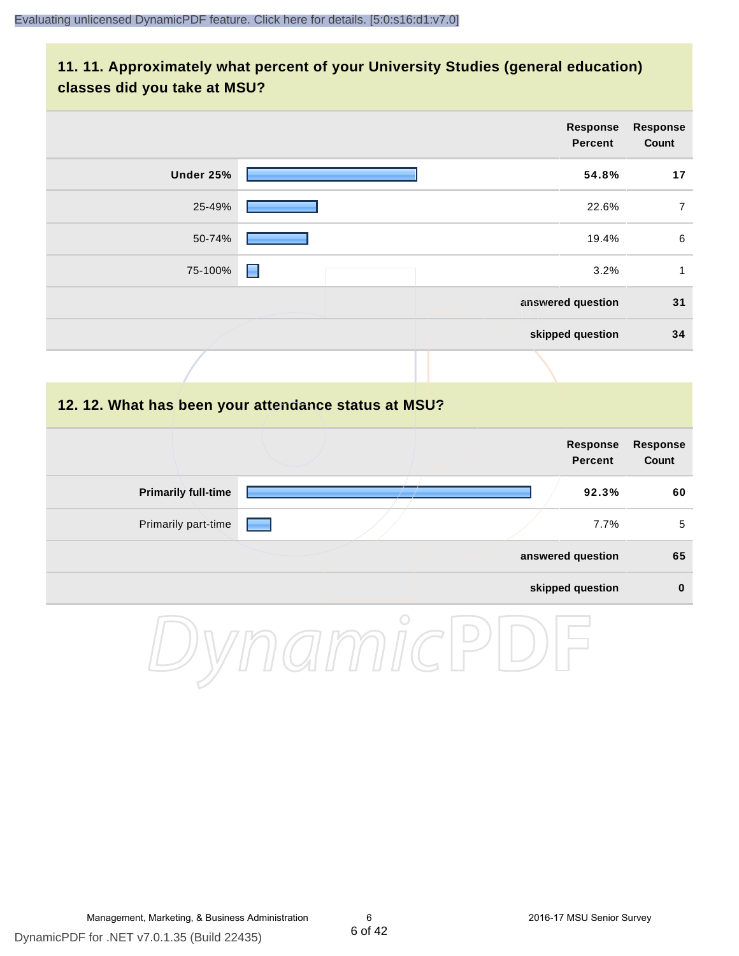#### **11. 11. Approximately what percent of your University Studies (general education) classes did you take at MSU?**

|                            | <b>Response</b><br>Percent                           | Response<br>Count        |
|----------------------------|------------------------------------------------------|--------------------------|
| <b>Under 25%</b>           | 54.8%                                                | 17                       |
| 25-49%                     | 22.6%                                                | $\overline{7}$           |
| 50-74%                     | 19.4%                                                | 6                        |
| 75-100%                    | 3.2%<br>н                                            | $\mathbf{1}$             |
|                            | answered question                                    | 31                       |
|                            | skipped question                                     | 34                       |
|                            |                                                      |                          |
|                            | 12. 12. What has been your attendance status at MSU? |                          |
|                            | <b>Response</b><br><b>Percent</b>                    | <b>Response</b><br>Count |
| <b>Primarily full-time</b> | 92.3%                                                | 60                       |
| Primarily part-time        | 7.7%                                                 | $\overline{5}$           |
|                            | answered question                                    | 65                       |
|                            |                                                      |                          |
|                            | skipped question                                     | $\pmb{0}$                |

DynamicPDF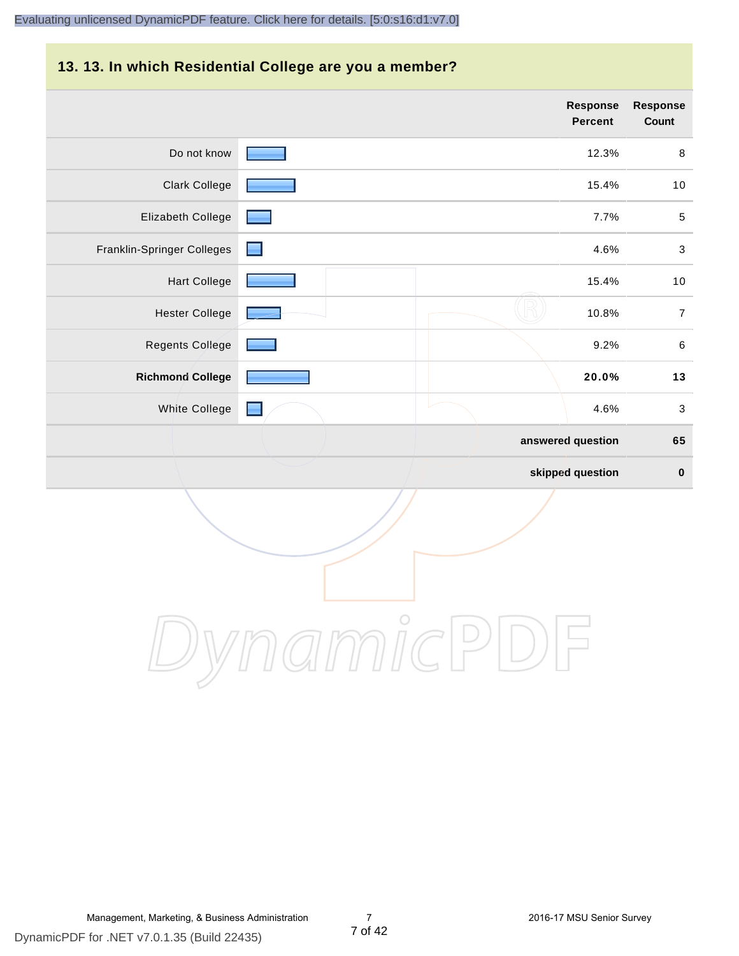#### **13. 13. In which Residential College are you a member?**

|                            |    | <b>Response</b><br><b>Percent</b> | <b>Response</b><br>Count  |
|----------------------------|----|-----------------------------------|---------------------------|
| Do not know                |    | 12.3%                             | $\,8\,$                   |
| <b>Clark College</b>       |    | 15.4%                             | 10                        |
| Elizabeth College          |    | 7.7%                              | $\sqrt{5}$                |
| Franklin-Springer Colleges | L. | 4.6%                              | $\ensuremath{\mathsf{3}}$ |
| <b>Hart College</b>        |    | 15.4%                             | 10                        |
| <b>Hester College</b>      |    | 10.8%                             | $\overline{7}$            |
| Regents College            |    | 9.2%                              | $\,6\,$                   |
| <b>Richmond College</b>    |    | 20.0%                             | 13                        |
| White College              |    | 4.6%                              | $\ensuremath{\mathsf{3}}$ |
|                            |    | answered question                 | 65                        |
|                            |    | skipped question                  | $\bf{0}$                  |

DynamicPDF

Management, Marketing, & Business Administration 7 2016-17 MSU Senior Survey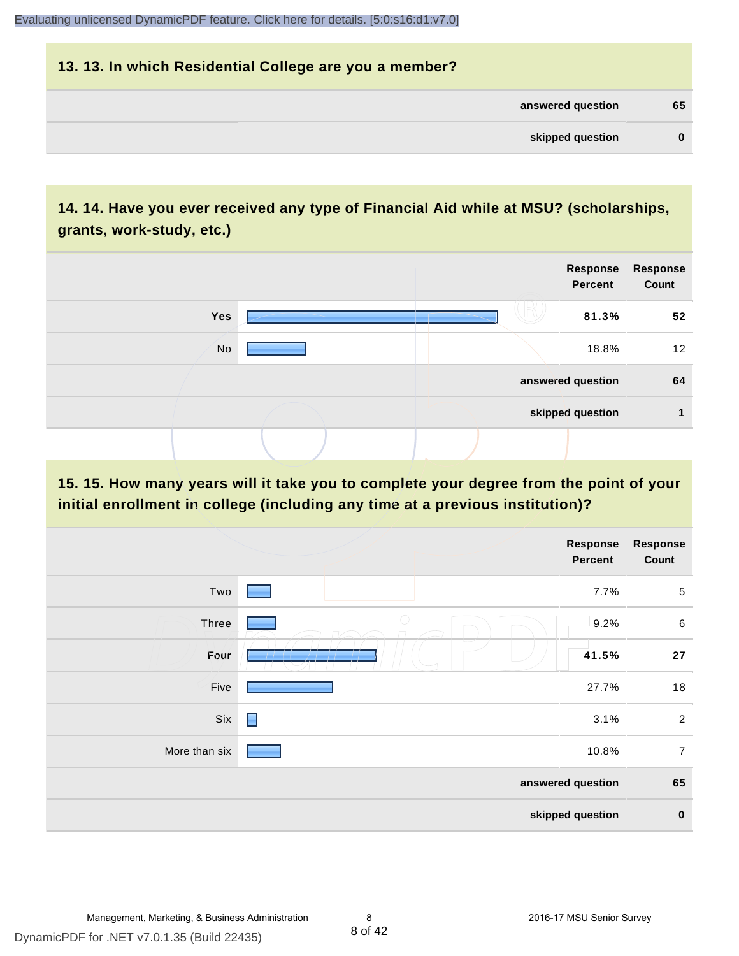| 13. 13. In which Residential College are you a member? |          |
|--------------------------------------------------------|----------|
| answered question                                      | 65       |
| skipped question                                       | $\bf{0}$ |

# **14. 14. Have you ever received any type of Financial Aid while at MSU? (scholarships, grants, work-study, etc.)**



**15. 15. How many years will it take you to complete your degree from the point of your initial enrollment in college (including any time at a previous institution)?**

|               |                   | <b>Response</b><br>Percent | Response<br>Count |
|---------------|-------------------|----------------------------|-------------------|
| Two           |                   | 7.7%                       | $\sqrt{5}$        |
| Three         | $\bigcirc$        | 9.2%                       | $\,6\,$           |
| Four          |                   | 41.5%                      | 27                |
| Five          |                   | 27.7%                      | 18                |
| Six           | $\blacksquare$    | 3.1%                       | $\overline{2}$    |
| More than six |                   | 10.8%                      | $\overline{7}$    |
|               | answered question |                            | 65                |
|               | skipped question  |                            | $\pmb{0}$         |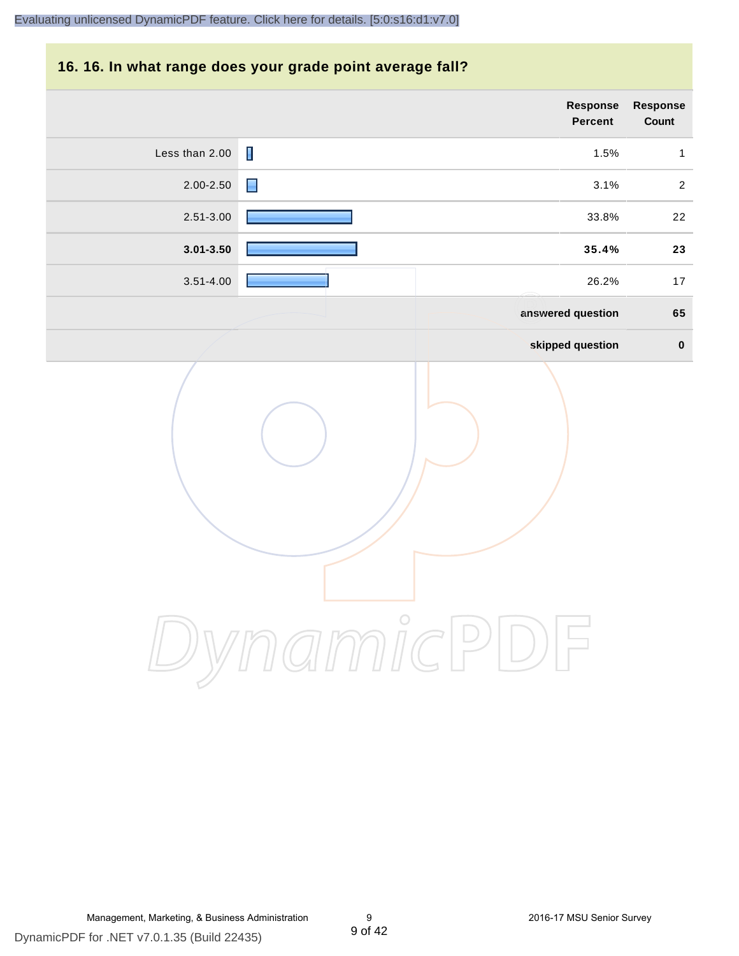#### **16. 16. In what range does your grade point average fall?**

| Response<br>Count | Response<br>Percent                  |                |
|-------------------|--------------------------------------|----------------|
| $\mathbf{1}$      | 1.5%                                 | Less than 2.00 |
| $\sqrt{2}$        | $\blacksquare$<br>3.1%               | 2.00-2.50      |
| $22\,$            | 33.8%                                | 2.51-3.00      |
| 23                | 35.4%                                | $3.01 - 3.50$  |
| $17$              | 26.2%                                | $3.51 - 4.00$  |
| 65                | answered question                    |                |
| $\pmb{0}$         | skipped question                     |                |
|                   | $\int_{1}^{0}$<br>$\curvearrowright$ |                |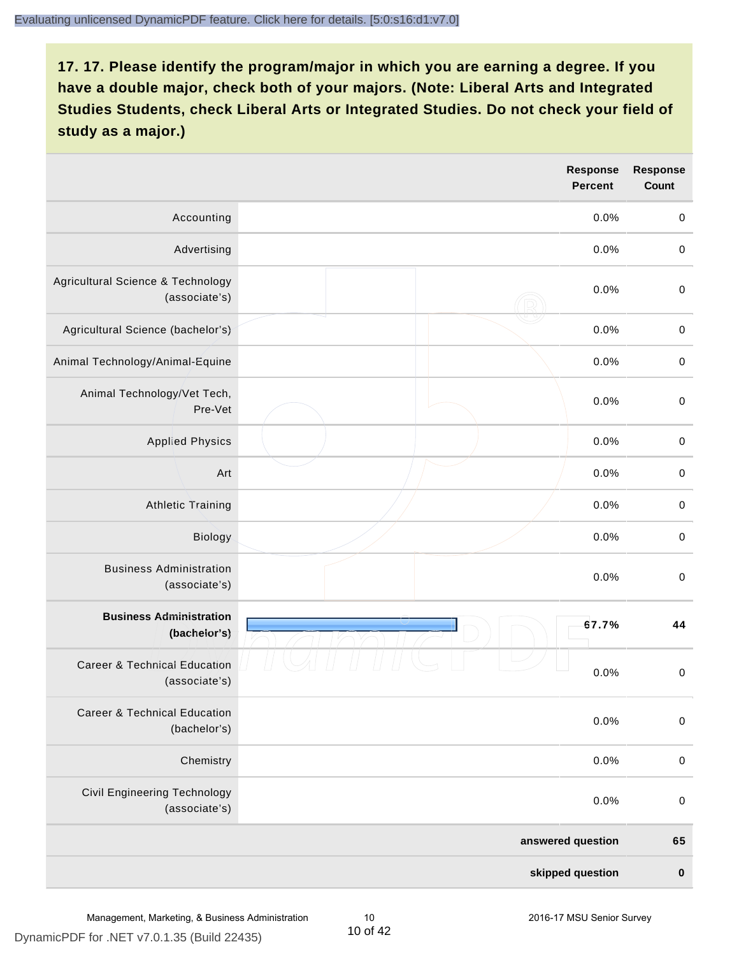|                                                          | <b>Response</b><br><b>Percent</b> | <b>Response</b><br>Count |
|----------------------------------------------------------|-----------------------------------|--------------------------|
| Accounting                                               | 0.0%                              | $\mathbf 0$              |
| Advertising                                              | 0.0%                              | $\,0\,$                  |
| Agricultural Science & Technology<br>(associate's)       | 0.0%                              | $\,0\,$                  |
| Agricultural Science (bachelor's)                        | 0.0%                              | $\,0\,$                  |
| Animal Technology/Animal-Equine                          | 0.0%                              | $\mathbf 0$              |
| Animal Technology/Vet Tech,<br>Pre-Vet                   | 0.0%                              | $\mathbf 0$              |
| <b>Applied Physics</b>                                   | 0.0%                              | $\pmb{0}$                |
| Art                                                      | 0.0%                              | $\mathbf 0$              |
| <b>Athletic Training</b>                                 | 0.0%                              | $\mathbf 0$              |
| Biology                                                  | 0.0%                              | $\mbox{O}$               |
| <b>Business Administration</b><br>(associate's)          | 0.0%                              | $\,0\,$                  |
| <b>Business Administration</b><br>(bachelor's)           | 67.7%                             | 44                       |
| <b>Career &amp; Technical Education</b><br>(associate's) | 0.0%                              | $\mathbf 0$              |
| <b>Career &amp; Technical Education</b><br>(bachelor's)  | 0.0%                              | $\mathbf 0$              |
| Chemistry                                                | 0.0%                              | $\mathbf 0$              |
| <b>Civil Engineering Technology</b><br>(associate's)     | 0.0%                              | $\mathbf 0$              |
|                                                          | answered question                 | 65                       |
|                                                          | skipped question                  | $\pmb{0}$                |

DynamicPDF for .NET v7.0.1.35 (Build 22435)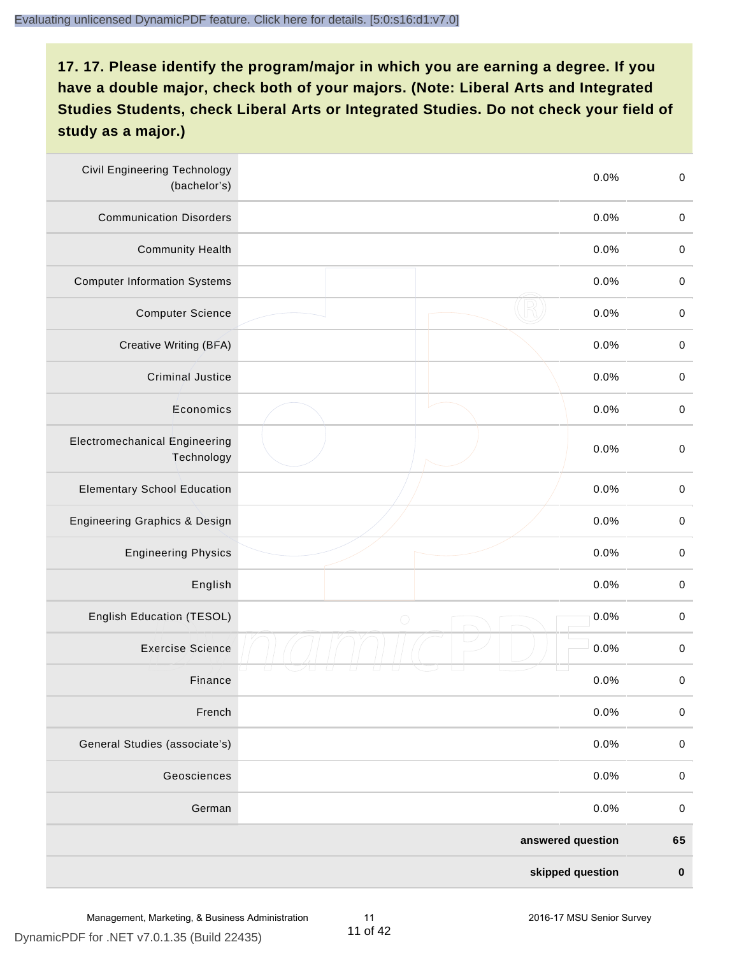| <b>Civil Engineering Technology</b><br>(bachelor's) | 0.0%               | $\mbox{O}$  |
|-----------------------------------------------------|--------------------|-------------|
| <b>Communication Disorders</b>                      | 0.0%               | $\mathbf 0$ |
| <b>Community Health</b>                             | 0.0%               | $\,0\,$     |
| <b>Computer Information Systems</b>                 | 0.0%               | $\,0\,$     |
| <b>Computer Science</b>                             | 0.0%               | $\mathbf 0$ |
| Creative Writing (BFA)                              | 0.0%               | $\mathbf 0$ |
| Criminal Justice                                    | 0.0%               | $\mathbf 0$ |
| Economics                                           | 0.0%               | $\,0\,$     |
| <b>Electromechanical Engineering</b><br>Technology  | 0.0%               | $\pmb{0}$   |
| <b>Elementary School Education</b>                  | 0.0%               | $\mathbf 0$ |
| <b>Engineering Graphics &amp; Design</b>            | 0.0%               | $\pmb{0}$   |
| <b>Engineering Physics</b>                          | 0.0%               | $\pmb{0}$   |
| English                                             | 0.0%               | $\pmb{0}$   |
| English Education (TESOL)                           | 0.0%<br>$\bigcirc$ | $\mathbf 0$ |
| <b>Exercise Science</b>                             | 0.0%               | $\pmb{0}$   |
| Finance                                             | 0.0%               | $\,0\,$     |
| French                                              | 0.0%               | $\pmb{0}$   |
| General Studies (associate's)                       | 0.0%               | $\mathbf 0$ |
| Geosciences                                         | 0.0%               | $\mathbf 0$ |
| German                                              | 0.0%               | $\mathbf 0$ |
|                                                     | answered question  | 65          |
|                                                     | skipped question   | $\pmb{0}$   |

DynamicPDF for .NET v7.0.1.35 (Build 22435)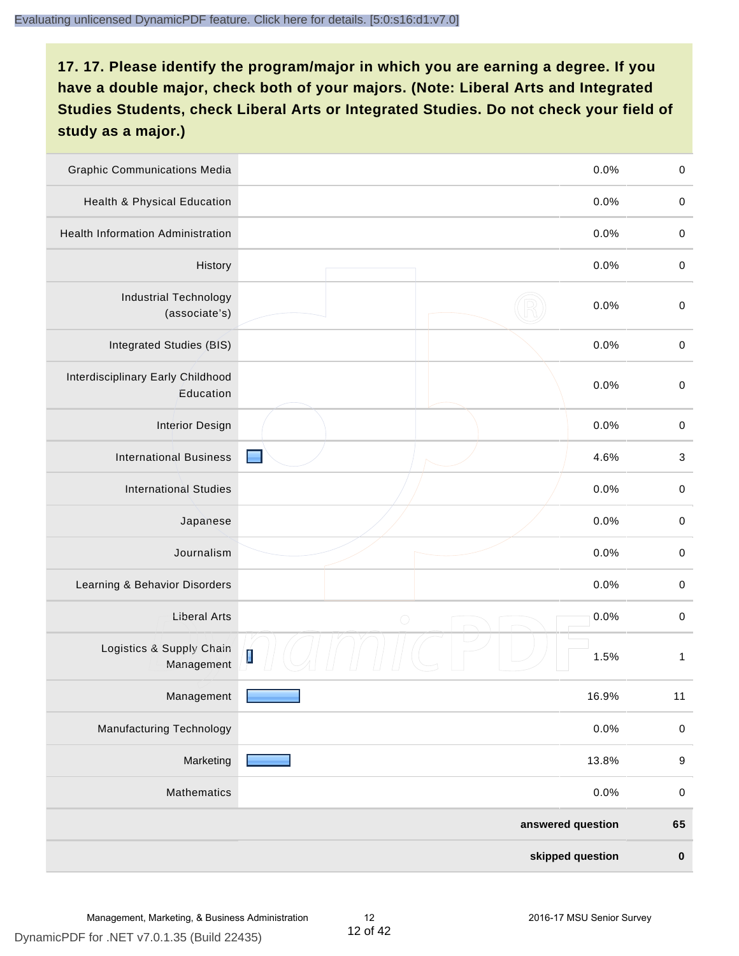| <b>Graphic Communications Media</b>            |                                        | 0.0%              | $\mathbf 0$               |
|------------------------------------------------|----------------------------------------|-------------------|---------------------------|
| <b>Health &amp; Physical Education</b>         |                                        | 0.0%              | $\mathbf 0$               |
| <b>Health Information Administration</b>       |                                        | 0.0%              | $\pmb{0}$                 |
| History                                        |                                        | 0.0%              | $\mathbf 0$               |
| <b>Industrial Technology</b><br>(associate's)  |                                        | 0.0%              | $\mathbf 0$               |
| Integrated Studies (BIS)                       |                                        | 0.0%              | $\mathbf 0$               |
| Interdisciplinary Early Childhood<br>Education |                                        | 0.0%              | $\mathbf 0$               |
| <b>Interior Design</b>                         |                                        | 0.0%              | $\mathbf 0$               |
| <b>International Business</b>                  |                                        | 4.6%              | $\ensuremath{\mathsf{3}}$ |
| <b>International Studies</b>                   |                                        | 0.0%              | $\,0\,$                   |
| Japanese                                       |                                        | 0.0%              | $\mathbf 0$               |
| Journalism                                     |                                        | 0.0%              | $\pmb{0}$                 |
| Learning & Behavior Disorders                  |                                        | 0.0%              | $\mathbf 0$               |
| <b>Liberal Arts</b>                            | $\bigcirc$                             | 0.0%              | $\mathbf 0$               |
| Logistics & Supply Chain<br>Management         | $\begin{bmatrix} 1 \\ 1 \end{bmatrix}$ | 1.5%              | 1                         |
| Management                                     |                                        | 16.9%             | 11                        |
| <b>Manufacturing Technology</b>                |                                        | 0.0%              | $\pmb{0}$                 |
| Marketing                                      |                                        | 13.8%             | $\boldsymbol{9}$          |
| Mathematics                                    |                                        | 0.0%              | $\,0\,$                   |
|                                                |                                        | answered question | 65                        |
|                                                |                                        | skipped question  | $\pmb{0}$                 |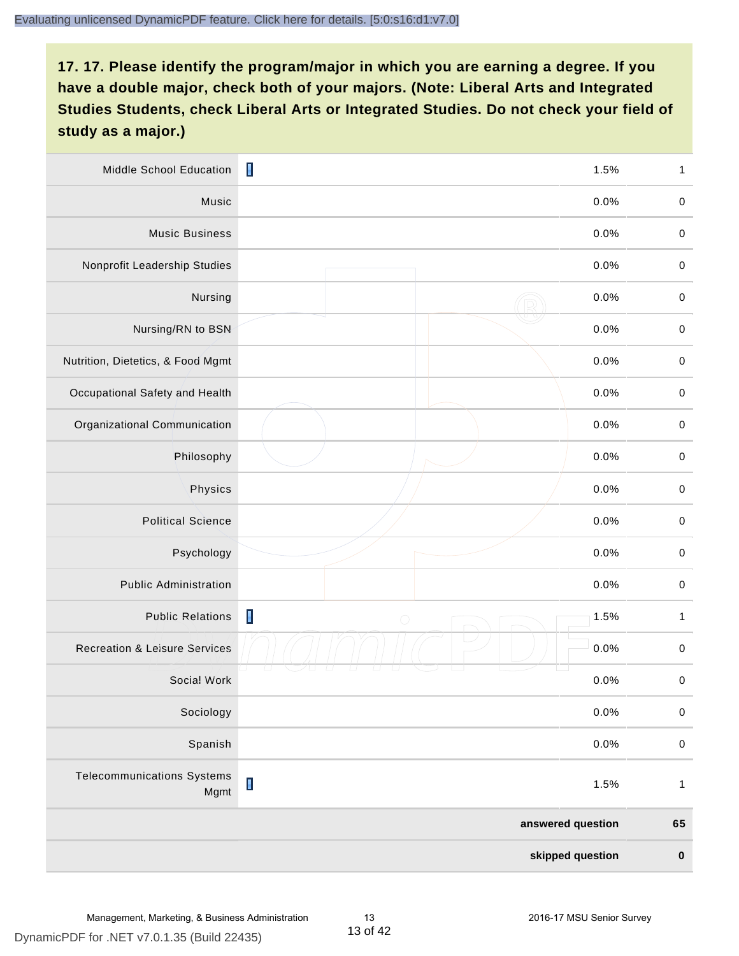| Middle School Education                   | I<br>1.5%                            | 1            |
|-------------------------------------------|--------------------------------------|--------------|
| Music                                     | 0.0%                                 | $\,0\,$      |
| <b>Music Business</b>                     | 0.0%                                 | $\,0\,$      |
| Nonprofit Leadership Studies              | 0.0%                                 | $\pmb{0}$    |
| Nursing                                   | 0.0%                                 | $\pmb{0}$    |
| Nursing/RN to BSN                         | 0.0%                                 | $\mathbf 0$  |
| Nutrition, Dietetics, & Food Mgmt         | 0.0%                                 | $\mathbf 0$  |
| Occupational Safety and Health            | 0.0%                                 | $\,0\,$      |
| Organizational Communication              | 0.0%                                 | $\pmb{0}$    |
| Philosophy                                | 0.0%                                 | $\mathbf 0$  |
| Physics                                   | 0.0%                                 | $\pmb{0}$    |
| <b>Political Science</b>                  | 0.0%                                 | $\mathbf 0$  |
| Psychology                                | 0.0%                                 | $\,0\,$      |
| <b>Public Administration</b>              | 0.0%                                 | $\pmb{0}$    |
| <b>Public Relations</b>                   | $\blacksquare$<br>1.5%<br>$\bigcirc$ | $\mathbf{1}$ |
| <b>Recreation &amp; Leisure Services</b>  | 0.0%                                 | $\mathbf 0$  |
| Social Work                               | 0.0%                                 | $\mathbf 0$  |
| Sociology                                 | 0.0%                                 | $\mathbf 0$  |
| Spanish                                   | 0.0%                                 | $\mathbf 0$  |
| <b>Telecommunications Systems</b><br>Mgmt | $\blacksquare$<br>1.5%               | $\mathbf{1}$ |
|                                           | answered question                    | 65           |
|                                           | skipped question                     | $\pmb{0}$    |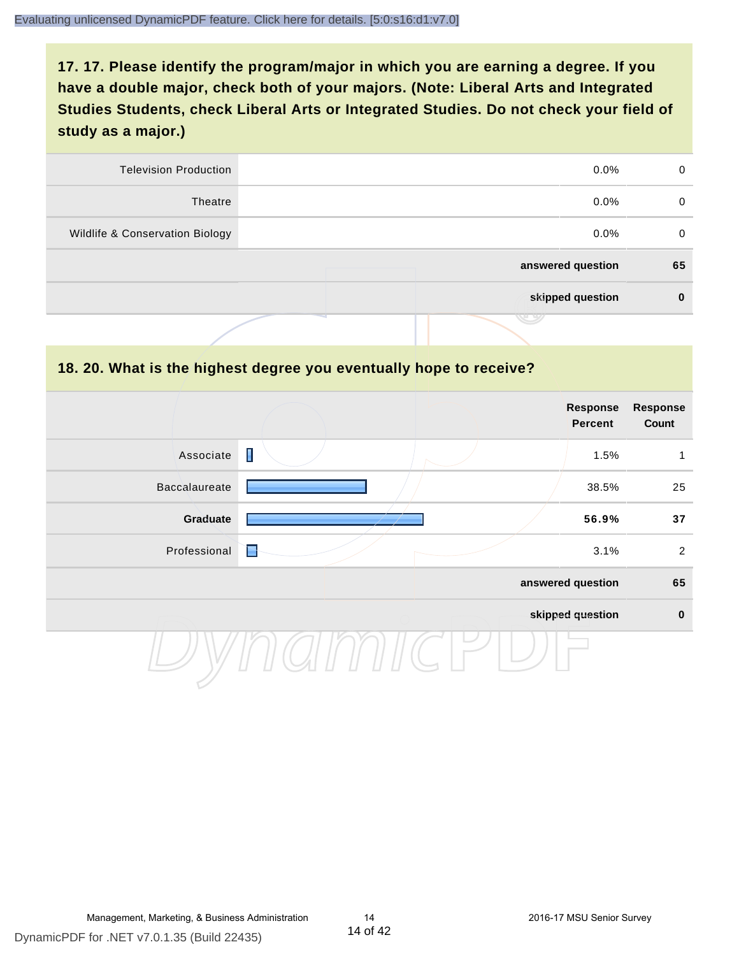| 0  | $0.0\%$           | <b>Television Production</b>    |
|----|-------------------|---------------------------------|
| 0  | $0.0\%$           | Theatre                         |
| 0  | $0.0\%$           | Wildlife & Conservation Biology |
| 65 | answered question |                                 |
| 0  | skipped question  |                                 |
|    | J 9               |                                 |

#### **18. 20. What is the highest degree you eventually hope to receive?**

|               |   | Response<br>Percent | <b>Response</b><br>Count |
|---------------|---|---------------------|--------------------------|
| Associate     | I | 1.5%                | 1                        |
| Baccalaureate |   | 38.5%               | 25                       |
| Graduate      |   | 56.9%               | 37                       |
| Professional  | E | 3.1%                | $\overline{2}$           |
|               |   | answered question   | 65                       |
|               |   | skipped question    | $\mathbf 0$              |
|               |   |                     |                          |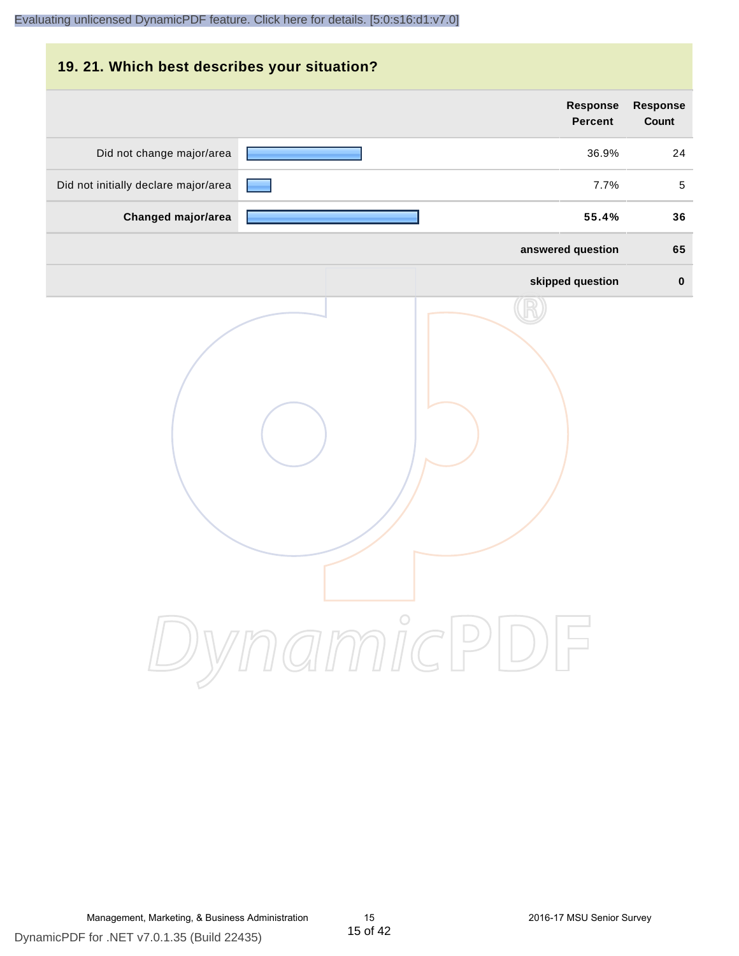| 19. 21. Which best describes your situation? |                                   |                                 |
|----------------------------------------------|-----------------------------------|---------------------------------|
|                                              | <b>Response</b><br><b>Percent</b> | <b>Response</b><br><b>Count</b> |
| Did not change major/area                    | 36.9%                             | 24                              |
| Did not initially declare major/area         | 7.7%                              | 5                               |
| Changed major/area                           | 55.4%                             | 36                              |
|                                              | answered question                 | 65                              |
|                                              | skipped question                  | $\bf{0}$                        |
|                                              | DynamicPDF                        |                                 |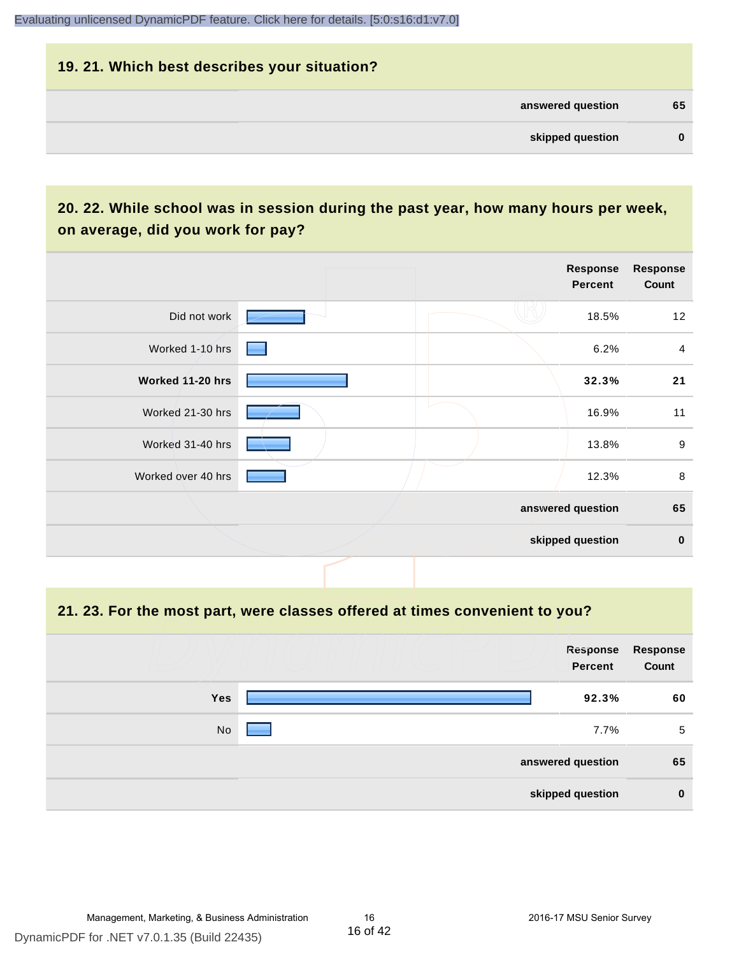# **19. 21. Which best describes your situation? answered question 65 skipped question 0**

# **20. 22. While school was in session during the past year, how many hours per week, on average, did you work for pay?**

|                    |  | Response<br>Percent | <b>Response</b><br>Count |
|--------------------|--|---------------------|--------------------------|
| Did not work       |  | 18.5%               | 12                       |
| Worked 1-10 hrs    |  | 6.2%                | $\overline{a}$           |
| Worked 11-20 hrs   |  | 32.3%               | 21                       |
| Worked 21-30 hrs   |  | 16.9%               | 11                       |
| Worked 31-40 hrs   |  | 13.8%               | $9\,$                    |
| Worked over 40 hrs |  | 12.3%               | $\,8\,$                  |
|                    |  | answered question   | 65                       |
|                    |  | skipped question    | $\bf{0}$                 |

#### **21. 23. For the most part, were classes offered at times convenient to you?**

|            | Response<br><b>Percent</b> | Response<br>Count |
|------------|----------------------------|-------------------|
| <b>Yes</b> | 92.3%                      | 60                |
| No         | 7.7%                       | 5                 |
|            | answered question          | 65                |
|            | skipped question           | $\bf{0}$          |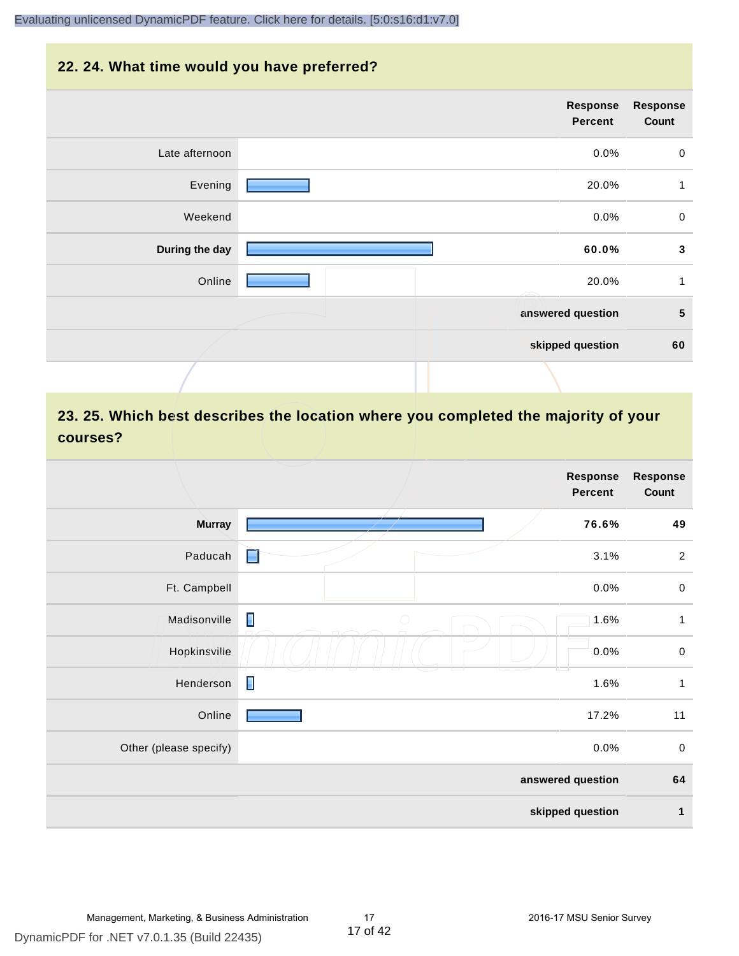#### **22. 24. What time would you have preferred?**

|                | Response<br>Percent | <b>Response</b><br>Count |
|----------------|---------------------|--------------------------|
| Late afternoon | 0.0%                | $\mathbf 0$              |
| Evening        | 20.0%               | $\mathbf{1}$             |
| Weekend        | 0.0%                | $\mathbf 0$              |
| During the day | 60.0%               | $\mathbf{3}$             |
| Online         | 20.0%               | $\mathbf{1}$             |
|                | answered question   | $\sqrt{5}$               |
|                | skipped question    | 60                       |
|                |                     |                          |

# **23. 25. Which best describes the location where you completed the majority of your courses?**

|                        |                              | <b>Response</b><br><b>Percent</b> | <b>Response</b><br>Count |
|------------------------|------------------------------|-----------------------------------|--------------------------|
| <b>Murray</b>          |                              | 76.6%                             | 49                       |
| Paducah                | E                            | 3.1%                              | $\overline{c}$           |
| Ft. Campbell           |                              | 0.0%                              | $\mathbf 0$              |
| Madisonville           | $\blacksquare$<br>$\bigcirc$ | 1.6%                              | $\mathbf{1}$             |
| Hopkinsville           |                              | 0.0%                              | $\pmb{0}$                |
| Henderson              | $\blacksquare$               | 1.6%                              | $\mathbf{1}$             |
| Online                 |                              | 17.2%                             | 11                       |
| Other (please specify) |                              | 0.0%                              | $\mathbf 0$              |
|                        |                              | answered question                 | 64                       |
|                        |                              | skipped question                  | $\mathbf{1}$             |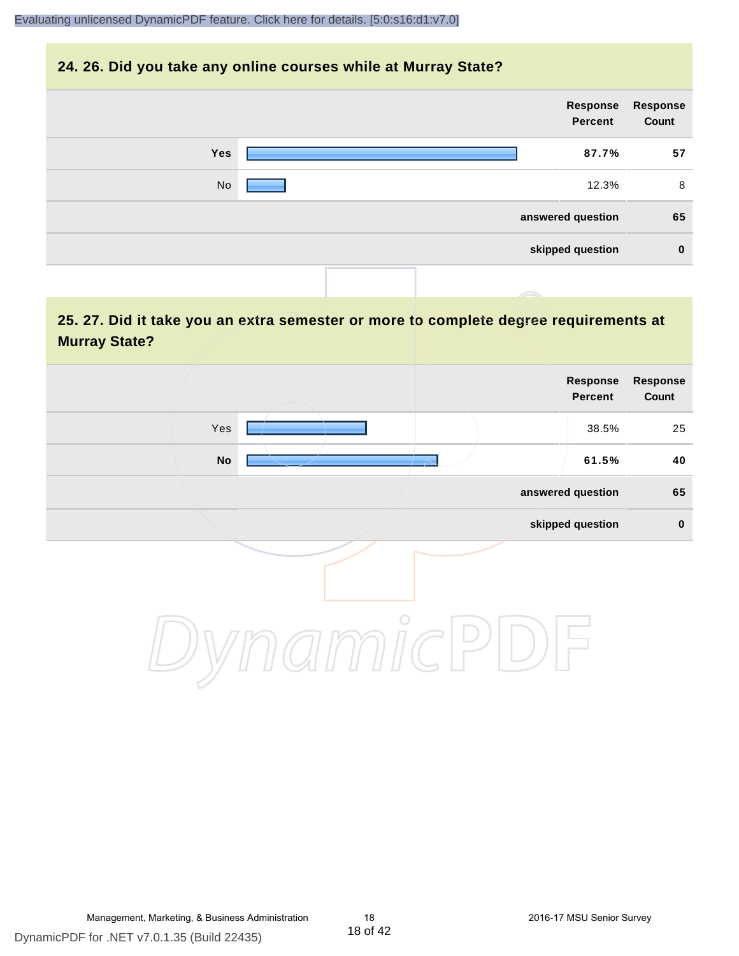#### **24. 26. Did you take any online courses while at Murray State?**

| Response<br>Count | Response<br>Percent |  |     |
|-------------------|---------------------|--|-----|
| 57                | 87.7%               |  | Yes |
| 8                 | 12.3%               |  | No  |
| 65                | answered question   |  |     |
| $\bf{0}$          | skipped question    |  |     |
|                   |                     |  |     |

# **25. 27. Did it take you an extra semester or more to complete degree requirements at Murray State?**

| <b>Response</b><br>Count | Response<br>Percent |            |     |  |
|--------------------------|---------------------|------------|-----|--|
| 25                       | 38.5%               |            | Yes |  |
| 40                       | 61.5%               |            | No  |  |
| 65                       | answered question   |            |     |  |
| $\pmb{0}$                | skipped question    |            |     |  |
|                          |                     | $\bigcirc$ |     |  |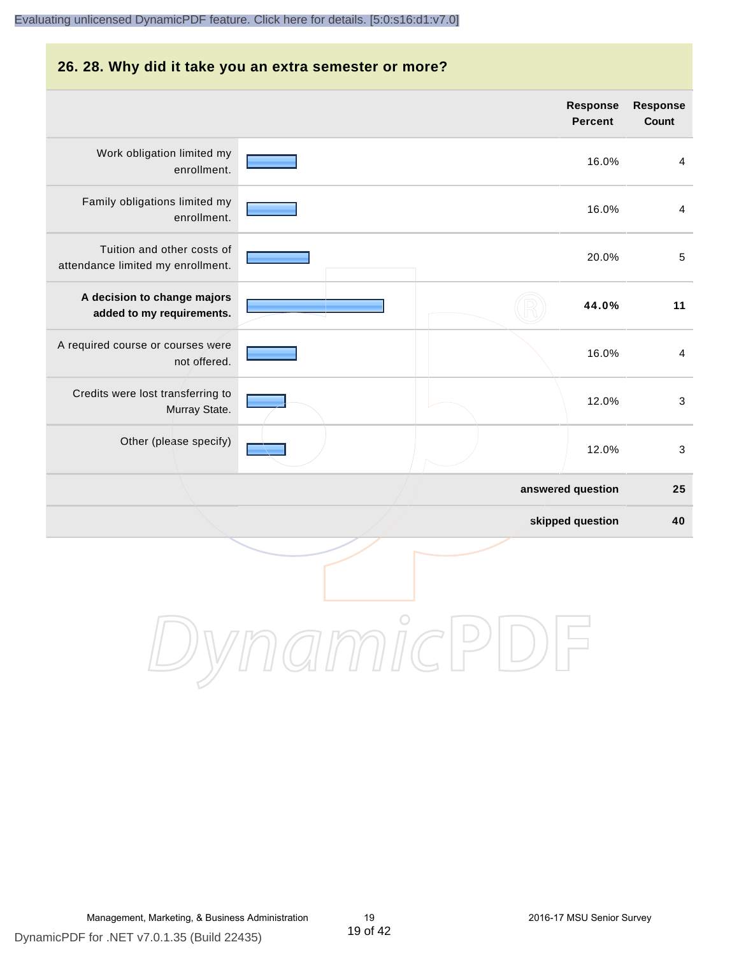#### **26. 28. Why did it take you an extra semester or more?**

|                                                                 |         | <b>Response</b><br><b>Percent</b> | Response<br>Count |
|-----------------------------------------------------------------|---------|-----------------------------------|-------------------|
| Work obligation limited my<br>enrollment.                       |         | 16.0%                             | $\overline{4}$    |
| Family obligations limited my<br>enrollment.                    |         | 16.0%                             | $\overline{4}$    |
| Tuition and other costs of<br>attendance limited my enrollment. |         | 20.0%                             | $\overline{5}$    |
| A decision to change majors<br>added to my requirements.        |         | 44.0%                             | 11                |
| A required course or courses were<br>not offered.               |         | 16.0%                             | $\overline{4}$    |
| Credits were lost transferring to<br>Murray State.              |         | 12.0%                             | $\sqrt{3}$        |
| Other (please specify)                                          |         | 12.0%                             | 3                 |
|                                                                 |         | answered question                 | 25                |
|                                                                 |         | skipped question                  | 40                |
|                                                                 | $\circ$ |                                   |                   |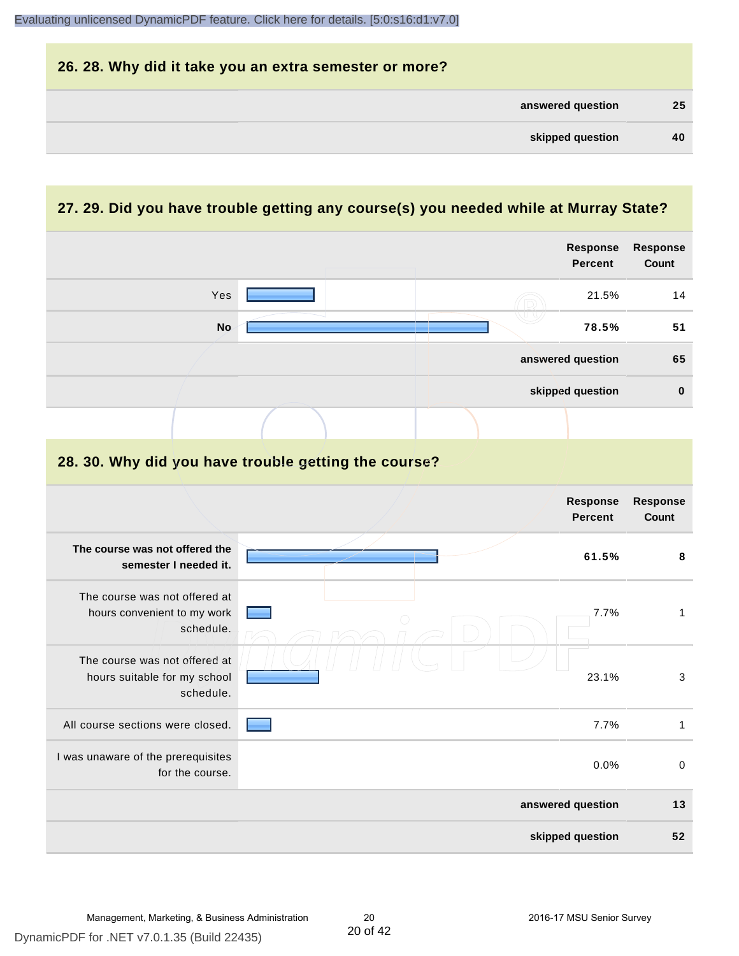| 26. 28. Why did it take you an extra semester or more? |    |
|--------------------------------------------------------|----|
| answered question                                      | 25 |
| skipped question                                       | 40 |

# **27. 29. Did you have trouble getting any course(s) you needed while at Murray State?**

|                                                                            |                                                      | <b>Response</b><br><b>Percent</b> | Response<br>Count        |
|----------------------------------------------------------------------------|------------------------------------------------------|-----------------------------------|--------------------------|
| Yes                                                                        |                                                      | 21.5%                             | 14                       |
| <b>No</b>                                                                  |                                                      | 78.5%                             | 51                       |
|                                                                            |                                                      | answered question                 | 65                       |
|                                                                            |                                                      | skipped question                  | $\mathbf 0$              |
|                                                                            |                                                      |                                   |                          |
|                                                                            | 28. 30. Why did you have trouble getting the course? |                                   |                          |
|                                                                            |                                                      | Response<br><b>Percent</b>        | Response<br><b>Count</b> |
| The course was not offered the<br>semester I needed it.                    |                                                      | 61.5%                             | 8                        |
| The course was not offered at<br>hours convenient to my work<br>schedule.  |                                                      | 7.7%                              | $\mathbf{1}$             |
| The course was not offered at<br>hours suitable for my school<br>schedule. |                                                      | 23.1%                             | $\mathbf{3}$             |
| All course sections were closed.                                           |                                                      | 7.7%                              | $\mathbf{1}$             |
| I was unaware of the prerequisites<br>for the course.                      |                                                      | 0.0%                              | $\mathbf 0$              |
|                                                                            |                                                      | answered question                 | 13                       |
|                                                                            |                                                      | skipped question                  | 52                       |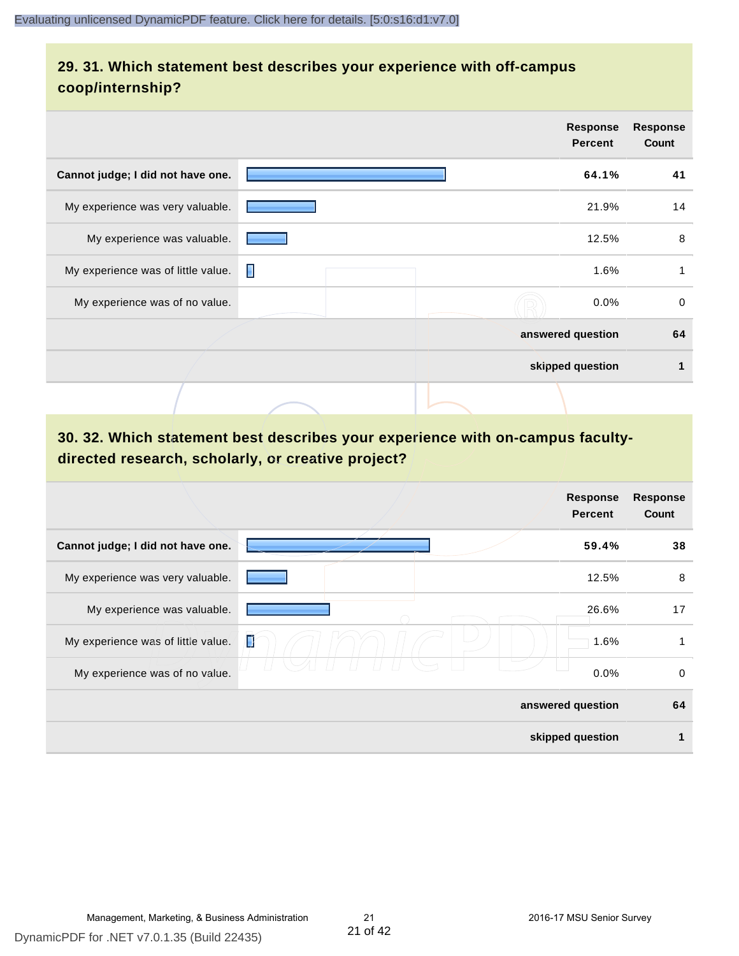# **29. 31. Which statement best describes your experience with off-campus coop/internship?**

|                                    |   | <b>Response</b><br><b>Percent</b> | <b>Response</b><br>Count |
|------------------------------------|---|-----------------------------------|--------------------------|
| Cannot judge; I did not have one.  |   | 64.1%                             | 41                       |
| My experience was very valuable.   |   | 21.9%                             | 14                       |
| My experience was valuable.        |   | 12.5%                             | 8                        |
| My experience was of little value. | п | 1.6%                              | 1                        |
| My experience was of no value.     |   | 0.0%                              | $\Omega$                 |
|                                    |   | answered question                 | 64                       |
|                                    |   | skipped question                  | 1                        |
|                                    |   |                                   |                          |

# **30. 32. Which statement best describes your experience with on-campus facultydirected research, scholarly, or creative project?**

|                                    | <b>Response</b><br><b>Percent</b> | <b>Response</b><br>Count |
|------------------------------------|-----------------------------------|--------------------------|
| Cannot judge; I did not have one.  | 59.4%                             | 38                       |
| My experience was very valuable.   | 12.5%                             | 8                        |
| My experience was valuable.        | 26.6%                             | 17                       |
| My experience was of little value. | Ţ<br>1.6%                         | 1                        |
| My experience was of no value.     | 0.0%                              | 0                        |
|                                    | answered question                 | 64                       |
|                                    | skipped question                  | 1                        |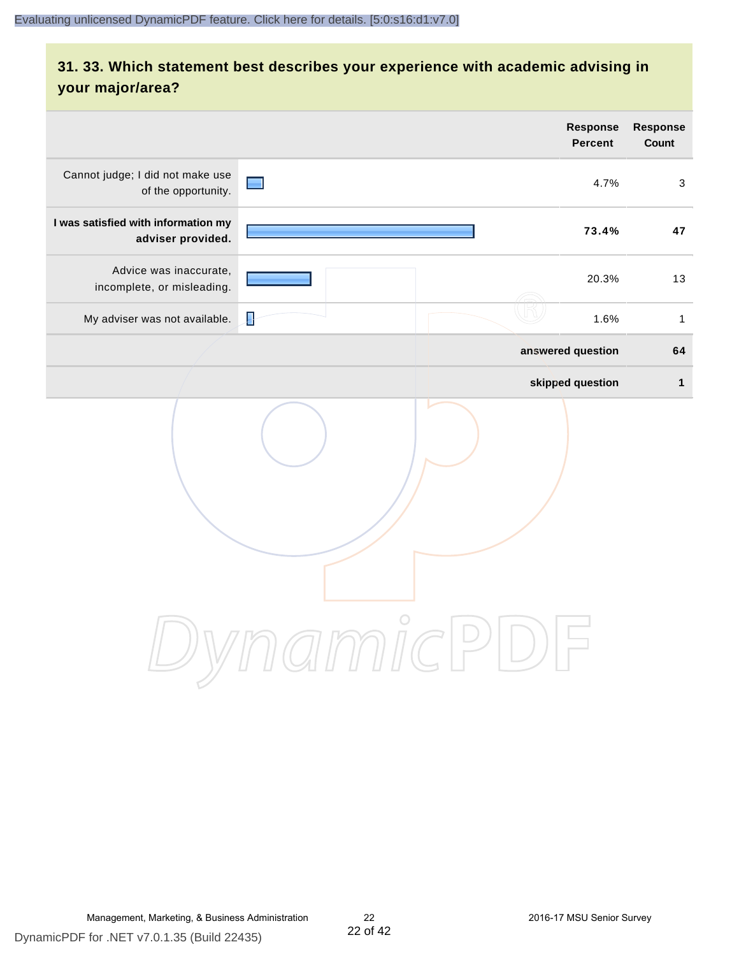# **31. 33. Which statement best describes your experience with academic advising in your major/area?**

|                                                          |                     | <b>Response</b><br><b>Percent</b> | Response<br>Count |
|----------------------------------------------------------|---------------------|-----------------------------------|-------------------|
| Cannot judge; I did not make use<br>of the opportunity.  | $\blacksquare$      | 4.7%                              | $\mathbf{3}$      |
| I was satisfied with information my<br>adviser provided. |                     | 73.4%                             | 47                |
| Advice was inaccurate,<br>incomplete, or misleading.     |                     | 20.3%                             | 13                |
| My adviser was not available.                            | Į                   | 1.6%                              | $\mathbf{1}$      |
|                                                          |                     | answered question                 | 64                |
|                                                          |                     | skipped question                  | $\mathbf{1}$      |
|                                                          | amnicPl<br>$\Box$ ) |                                   |                   |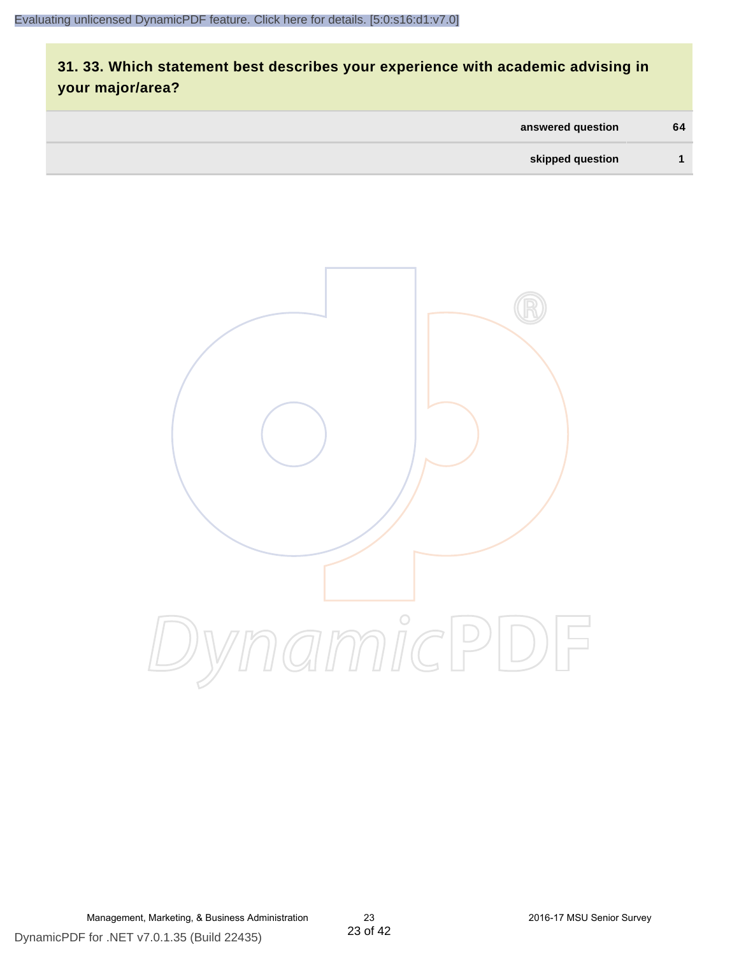# **31. 33. Which statement best describes your experience with academic advising in your major/area?**

| answered question | 64 |
|-------------------|----|
| skipped question  |    |



Management, Marketing, & Business Administration 23 2016-17 MSU Senior Survey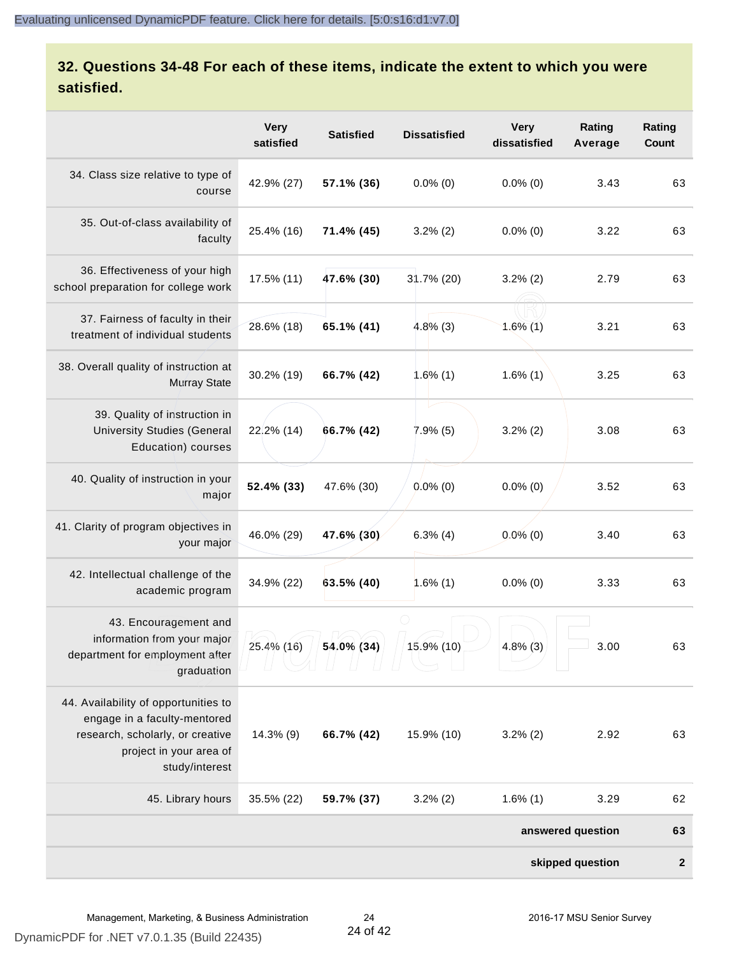# **32. Questions 34-48 For each of these items, indicate the extent to which you were satisfied.**

|                                                                                                                                                       | <b>Very</b><br>satisfied | <b>Satisfied</b> | <b>Dissatisfied</b> | <b>Very</b><br>dissatisfied | Rating<br>Average | Rating<br>Count |
|-------------------------------------------------------------------------------------------------------------------------------------------------------|--------------------------|------------------|---------------------|-----------------------------|-------------------|-----------------|
| 34. Class size relative to type of<br>course                                                                                                          | 42.9% (27)               | 57.1% (36)       | $0.0\%$ (0)         | $0.0\%$ (0)                 | 3.43              | 63              |
| 35. Out-of-class availability of<br>faculty                                                                                                           | 25.4% (16)               | 71.4% (45)       | $3.2\%$ (2)         | $0.0\%$ (0)                 | 3.22              | 63              |
| 36. Effectiveness of your high<br>school preparation for college work                                                                                 | 17.5% (11)               | 47.6% (30)       | 31.7% (20)          | $3.2\%$ (2)                 | 2.79              | 63              |
| 37. Fairness of faculty in their<br>treatment of individual students                                                                                  | 28.6% (18)               | 65.1% (41)       | $4.8\%$ (3)         | $1.6\%$ (1)                 | 3.21              | 63              |
| 38. Overall quality of instruction at<br><b>Murray State</b>                                                                                          | 30.2% (19)               | 66.7% (42)       | 1.6%(1)             | $1.6\%$ (1)                 | 3.25              | 63              |
| 39. Quality of instruction in<br><b>University Studies (General</b><br>Education) courses                                                             | 22.2% (14)               | 66.7% (42)       | 7.9%(5)             | $3.2\%$ (2)                 | 3.08              | 63              |
| 40. Quality of instruction in your<br>major                                                                                                           | 52.4% (33)               | 47.6% (30)       | $0.0\%$ (0)         | $0.0\%$ (0)                 | 3.52              | 63              |
| 41. Clarity of program objectives in<br>your major                                                                                                    | 46.0% (29)               | 47.6% (30)       | $6.3\%$ (4)         | $0.0\%$ (0)                 | 3.40              | 63              |
| 42. Intellectual challenge of the<br>academic program                                                                                                 | 34.9% (22)               | 63.5% (40)       | $1.6\%$ (1)         | $0.0\%$ (0)                 | 3.33              | 63              |
| 43. Encouragement and<br>information from your major<br>department for employment after<br>graduation                                                 | 25.4% (16)               | 54.0% (34)       | 15.9% (10)          | $4.8\%$ (3)                 | 3.00              | 63              |
| 44. Availability of opportunities to<br>engage in a faculty-mentored<br>research, scholarly, or creative<br>project in your area of<br>study/interest | 14.3% (9)                | 66.7% (42)       | 15.9% (10)          | $3.2\%$ (2)                 | 2.92              | 63              |
| 45. Library hours                                                                                                                                     | 35.5% (22)               | 59.7% (37)       | $3.2\%$ (2)         | $1.6\%$ (1)                 | 3.29              | 62              |
| answered question                                                                                                                                     |                          |                  |                     |                             | 63                |                 |
| skipped question                                                                                                                                      |                          |                  |                     |                             | $\boldsymbol{2}$  |                 |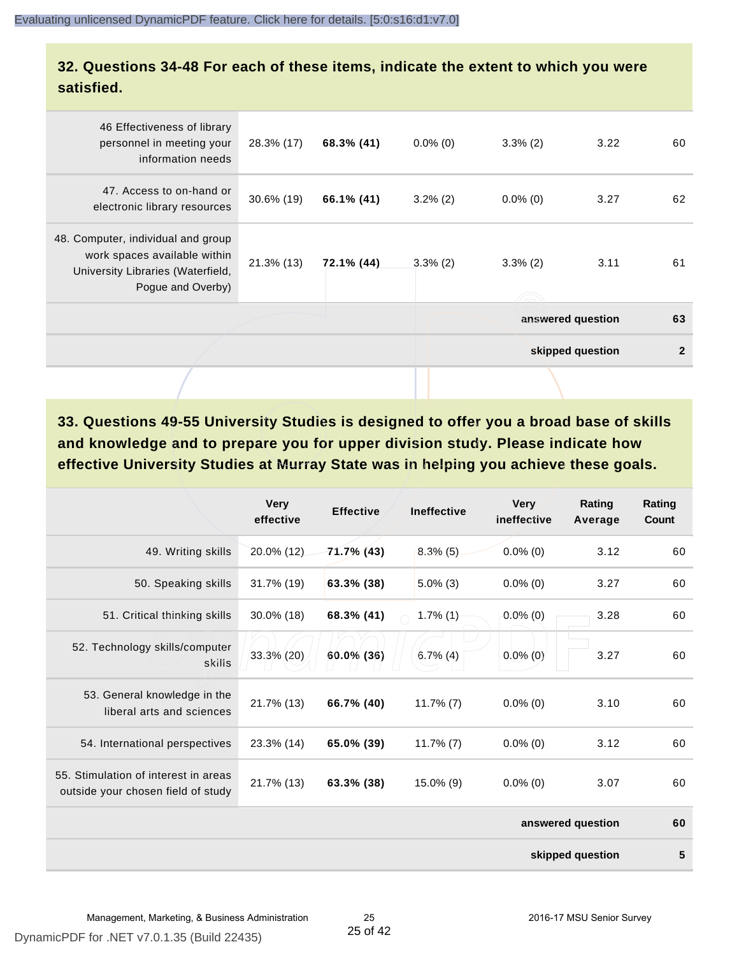#### **32. Questions 34-48 For each of these items, indicate the extent to which you were satisfied.**

|                                                                                                                              |            |            |             |                   | skipped question | $\overline{2}$ |
|------------------------------------------------------------------------------------------------------------------------------|------------|------------|-------------|-------------------|------------------|----------------|
|                                                                                                                              |            |            |             | answered question |                  | 63             |
| 48. Computer, individual and group<br>work spaces available within<br>University Libraries (Waterfield,<br>Pogue and Overby) | 21.3% (13) | 72.1% (44) | $3.3\%$ (2) | $3.3\%$ (2)       | 3.11             | 61             |
| 47. Access to on-hand or<br>electronic library resources                                                                     | 30.6% (19) | 66.1% (41) | $3.2\%$ (2) | $0.0\%$ (0)       | 3.27             | 62             |
| 46 Effectiveness of library<br>personnel in meeting your<br>information needs                                                | 28.3% (17) | 68.3% (41) | $0.0\%$ (0) | $3.3\%$ (2)       | 3.22             | 60             |
|                                                                                                                              |            |            |             |                   |                  |                |

**33. Questions 49-55 University Studies is designed to offer you a broad base of skills and knowledge and to prepare you for upper division study. Please indicate how effective University Studies at Murray State was in helping you achieve these goals.**

|                                                                            | <b>Very</b><br>effective | <b>Effective</b> | <b>Ineffective</b> | <b>Very</b><br>ineffective | Rating<br>Average | Rating<br>Count |
|----------------------------------------------------------------------------|--------------------------|------------------|--------------------|----------------------------|-------------------|-----------------|
| 49. Writing skills                                                         | 20.0% (12)               | 71.7% (43)       | $8.3\%$ (5)        | $0.0\%$ (0)                | 3.12              | 60              |
| 50. Speaking skills                                                        | 31.7% (19)               | 63.3% (38)       | $5.0\%$ (3)        | $0.0\%$ (0)                | 3.27              | 60              |
| 51. Critical thinking skills                                               | 30.0% (18)               | 68.3% (41)       | $1.7\%$ (1)        | $0.0\%$ (0)                | 3.28              | 60              |
| 52. Technology skills/computer<br>skills                                   | 33.3% (20)               | 60.0% (36)       | $6.7\%$ (4)        | $0.0\%$ (0)                | 3.27              | 60              |
| 53. General knowledge in the<br>liberal arts and sciences                  | 21.7% (13)               | 66.7% (40)       | $11.7\%$ (7)       | $0.0\%$ (0)                | 3.10              | 60              |
| 54. International perspectives                                             | 23.3% (14)               | 65.0% (39)       | $11.7\%$ (7)       | $0.0\%$ (0)                | 3.12              | 60              |
| 55. Stimulation of interest in areas<br>outside your chosen field of study | 21.7% (13)               | 63.3% (38)       | 15.0% (9)          | $0.0\%$ (0)                | 3.07              | 60              |
|                                                                            |                          |                  |                    |                            | answered question | 60              |
|                                                                            |                          |                  |                    |                            | skipped question  | 5               |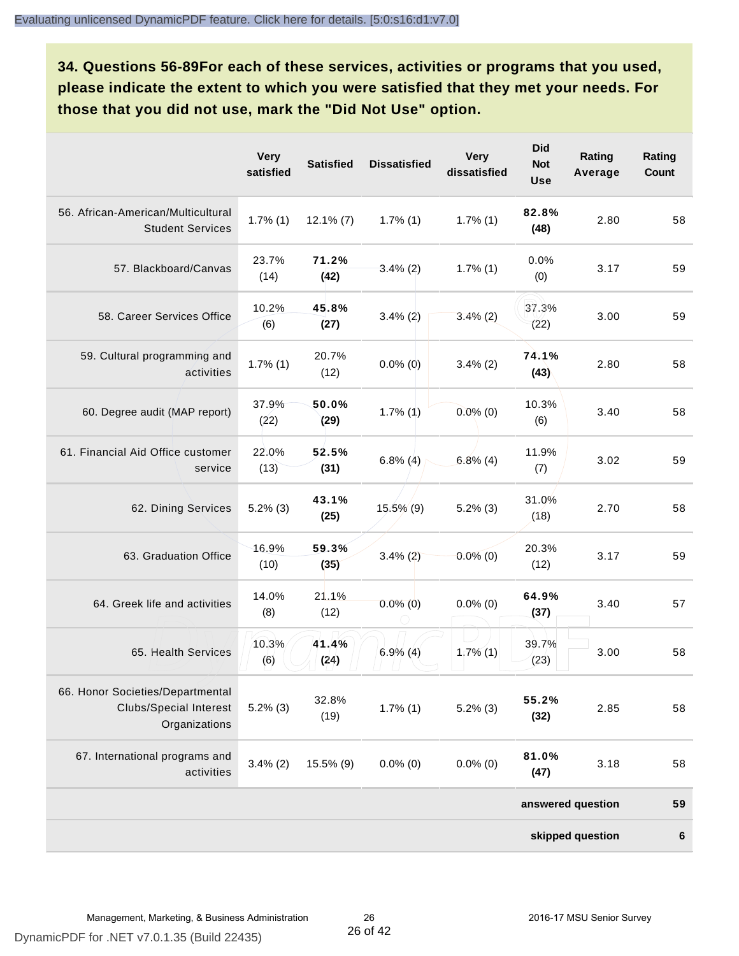**34. Questions 56-89For each of these services, activities or programs that you used, please indicate the extent to which you were satisfied that they met your needs. For those that you did not use, mark the "Did Not Use" option.**

|                                                                                    | <b>Very</b><br>satisfied | <b>Satisfied</b> | <b>Dissatisfied</b> | <b>Very</b><br>dissatisfied | <b>Did</b><br><b>Not</b><br><b>Use</b> | Rating<br>Average | Rating<br><b>Count</b> |
|------------------------------------------------------------------------------------|--------------------------|------------------|---------------------|-----------------------------|----------------------------------------|-------------------|------------------------|
| 56. African-American/Multicultural<br><b>Student Services</b>                      | $1.7\%$ (1)              | $12.1\%$ (7)     | $1.7\%$ (1)         | $1.7\%$ (1)                 | 82.8%<br>(48)                          | 2.80              | 58                     |
| 57. Blackboard/Canvas                                                              | 23.7%<br>(14)            | 71.2%<br>(42)    | $3.4\%$ (2)         | $1.7\%$ (1)                 | 0.0%<br>(0)                            | 3.17              | 59                     |
| 58. Career Services Office                                                         | 10.2%<br>(6)             | 45.8%<br>(27)    | $3.4\%(2)$          | $3.4\%$ (2)                 | 37.3%<br>(22)                          | 3.00              | 59                     |
| 59. Cultural programming and<br>activities                                         | $1.7\%$ (1)              | 20.7%<br>(12)    | $0.0\%$ (0)         | $3.4\%$ (2)                 | 74.1%<br>(43)                          | 2.80              | 58                     |
| 60. Degree audit (MAP report)                                                      | 37.9%<br>(22)            | 50.0%<br>(29)    | $1.7\%$ (1)         | $0.0\%$ (0)                 | 10.3%<br>(6)                           | 3.40              | 58                     |
| 61. Financial Aid Office customer<br>service                                       | 22.0%<br>(13)            | 52.5%<br>(31)    | $6.8\%$ (4)         | $6.8\%$ (4)                 | 11.9%<br>(7)                           | 3.02              | 59                     |
| 62. Dining Services                                                                | $5.2\%$ (3)              | 43.1%<br>(25)    | $15.5\%$ (9)        | $5.2\%$ (3)                 | 31.0%<br>(18)                          | 2.70              | 58                     |
| 63. Graduation Office                                                              | 16.9%<br>(10)            | 59.3%<br>(35)    | $3.4\% (2)$         | $0.0\%$ (0)                 | 20.3%<br>(12)                          | 3.17              | 59                     |
| 64. Greek life and activities                                                      | 14.0%<br>(8)             | 21.1%<br>(12)    | $0.0\%$ (0)         | $0.0\%$ (0)                 | 64.9%<br>(37)                          | 3.40              | 57                     |
| 65. Health Services                                                                | 10.3%<br>(6)             | 41.4%<br>(24)    | $6.9\%$ (4)         | $1.7\%$ (1)                 | 39.7%<br>(23)                          | 3.00              | 58                     |
| 66. Honor Societies/Departmental<br><b>Clubs/Special Interest</b><br>Organizations | $5.2\%$ (3)              | 32.8%<br>(19)    | $1.7\%$ (1)         | $5.2\%$ (3)                 | 55.2%<br>(32)                          | 2.85              | 58                     |
| 67. International programs and<br>activities                                       | $3.4\%$ (2)              | 15.5% (9)        | $0.0\%$ (0)         | $0.0\%$ (0)                 | 81.0%<br>(47)                          | 3.18              | 58                     |
|                                                                                    |                          |                  |                     |                             |                                        | answered question | 59                     |
|                                                                                    |                          |                  |                     |                             |                                        | skipped question  | 6                      |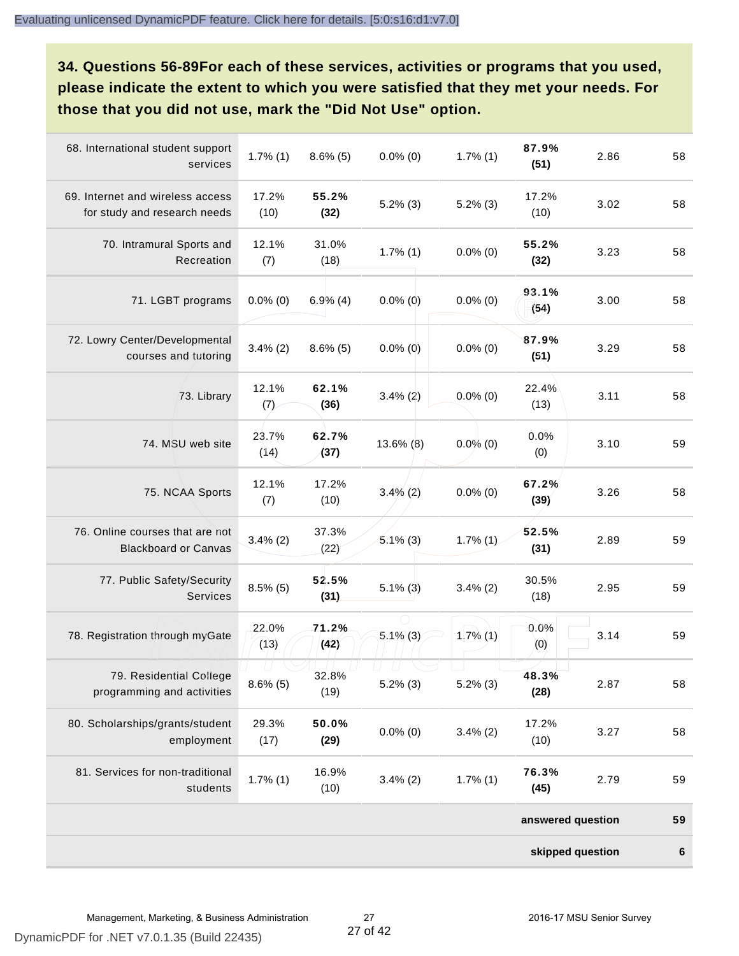**34. Questions 56-89For each of these services, activities or programs that you used, please indicate the extent to which you were satisfied that they met your needs. For those that you did not use, mark the "Did Not Use" option.**

| 68. International student support<br>services                    | $1.7\%$ (1)   | $8.6\%$ (5)   | $0.0\%$ (0) | $1.7\%$ (1) | 87.9%<br>(51)     | 2.86 | 58      |
|------------------------------------------------------------------|---------------|---------------|-------------|-------------|-------------------|------|---------|
| 69. Internet and wireless access<br>for study and research needs | 17.2%<br>(10) | 55.2%<br>(32) | $5.2\%$ (3) | $5.2\%$ (3) | 17.2%<br>(10)     | 3.02 | 58      |
| 70. Intramural Sports and<br>Recreation                          | 12.1%<br>(7)  | 31.0%<br>(18) | $1.7\%$ (1) | $0.0\%$ (0) | 55.2%<br>(32)     | 3.23 | 58      |
| 71. LGBT programs                                                | $0.0\%$ (0)   | $6.9\%$ (4)   | $0.0\%$ (0) | $0.0\%$ (0) | 93.1%<br>(54)     | 3.00 | 58      |
| 72. Lowry Center/Developmental<br>courses and tutoring           | $3.4\%$ (2)   | $8.6\%$ (5)   | $0.0\%$ (0) | $0.0\%$ (0) | 87.9%<br>(51)     | 3.29 | 58      |
| 73. Library                                                      | 12.1%<br>(7)  | 62.1%<br>(36) | $3.4\%$ (2) | $0.0\%$ (0) | 22.4%<br>(13)     | 3.11 | 58      |
| 74. MSU web site                                                 | 23.7%<br>(14) | 62.7%<br>(37) | 13.6% (8)   | $0.0\%$ (0) | 0.0%<br>(0)       | 3.10 | 59      |
| 75. NCAA Sports                                                  | 12.1%<br>(7)  | 17.2%<br>(10) | $3.4\%$ (2) | $0.0\%$ (0) | 67.2%<br>(39)     | 3.26 | 58      |
| 76. Online courses that are not<br><b>Blackboard or Canvas</b>   | $3.4\%$ (2)   | 37.3%<br>(22) | $5.1\%$ (3) | $1.7\%$ (1) | 52.5%<br>(31)     | 2.89 | 59      |
| 77. Public Safety/Security<br><b>Services</b>                    | $8.5\%$ (5)   | 52.5%<br>(31) | $5.1\%$ (3) | $3.4\%$ (2) | 30.5%<br>(18)     | 2.95 | 59      |
| 78. Registration through myGate                                  | 22.0%<br>(13) | 71.2%<br>(42) | $5.1\%$ (3) | $1.7\%$ (1) | 0.0%<br>(0)       | 3.14 | 59      |
| 79. Residential College<br>programming and activities            | $8.6\%$ (5)   | 32.8%<br>(19) | $5.2\%$ (3) | $5.2\%$ (3) | 48.3%<br>(28)     | 2.87 | 58      |
| 80. Scholarships/grants/student<br>employment                    | 29.3%<br>(17) | 50.0%<br>(29) | $0.0\%$ (0) | $3.4\%$ (2) | 17.2%<br>(10)     | 3.27 | 58      |
| 81. Services for non-traditional<br>students                     | $1.7\%$ (1)   | 16.9%<br>(10) | $3.4\%$ (2) | $1.7\%$ (1) | 76.3%<br>(45)     | 2.79 | 59      |
|                                                                  |               |               |             |             | answered question |      | 59      |
|                                                                  |               |               |             |             | skipped question  |      | $\bf 6$ |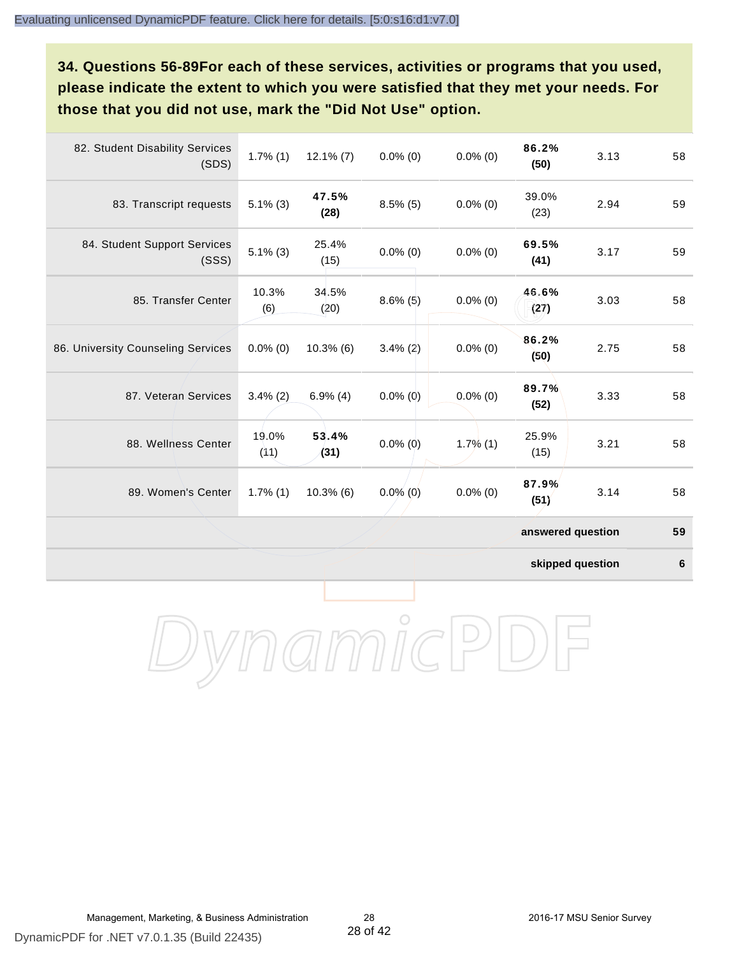**34. Questions 56-89For each of these services, activities or programs that you used, please indicate the extent to which you were satisfied that they met your needs. For those that you did not use, mark the "Did Not Use" option.**

| 82. Student Disability Services<br>(SDS) | $1.7\%$ (1)   | $12.1\%$ (7)  | $0.0\%$ (0) | $0.0\%$ (0) | 86.2%<br>(50)     | 3.13 | 58 |
|------------------------------------------|---------------|---------------|-------------|-------------|-------------------|------|----|
| 83. Transcript requests                  | $5.1\%$ (3)   | 47.5%<br>(28) | $8.5\%$ (5) | $0.0\%$ (0) | 39.0%<br>(23)     | 2.94 | 59 |
| 84. Student Support Services<br>(SSS)    | $5.1\%$ (3)   | 25.4%<br>(15) | $0.0\%$ (0) | $0.0\%$ (0) | 69.5%<br>(41)     | 3.17 | 59 |
| 85. Transfer Center                      | 10.3%<br>(6)  | 34.5%<br>(20) | $8.6\%$ (5) | $0.0\%$ (0) | 46.6%<br>(27)     | 3.03 | 58 |
| 86. University Counseling Services       | $0.0\%$ (0)   | 10.3%(6)      | $3.4\%$ (2) | $0.0\%$ (0) | 86.2%<br>(50)     | 2.75 | 58 |
| 87. Veteran Services                     | $3.4\%$ (2)   | $6.9\%$ (4)   | $0.0\%$ (0) | $0.0\%$ (0) | 89.7%<br>(52)     | 3.33 | 58 |
| 88. Wellness Center                      | 19.0%<br>(11) | 53.4%<br>(31) | $0.0\%$ (0) | $1.7\%$ (1) | 25.9%<br>(15)     | 3.21 | 58 |
| 89. Women's Center                       | $1.7\%$ (1)   | 10.3%(6)      | $0.0\%$ (0) | $0.0\%$ (0) | 87.9%<br>(51)     | 3.14 | 58 |
|                                          |               |               |             |             | answered question |      | 59 |

**skipped question 6**

DynamicPDF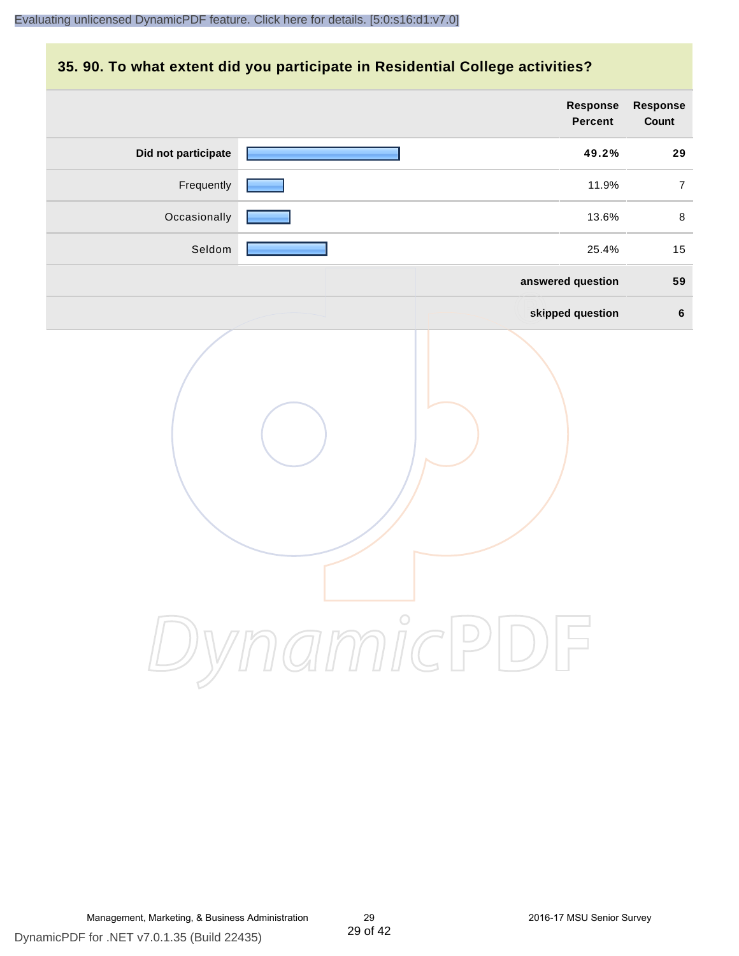#### **35. 90. To what extent did you participate in Residential College activities?**

|                     | <b>Response</b><br>Percent | Response<br>Count |
|---------------------|----------------------------|-------------------|
| Did not participate | 49.2%                      | 29                |
| Frequently          | 11.9%                      | $\overline{7}$    |
| Occasionally        | 13.6%                      | $\,8\,$           |
| Seldom              | 25.4%                      | 15                |
|                     | answered question          | 59                |
|                     | skipped question           | $6\phantom{1}$    |
|                     | ynamicPD                   |                   |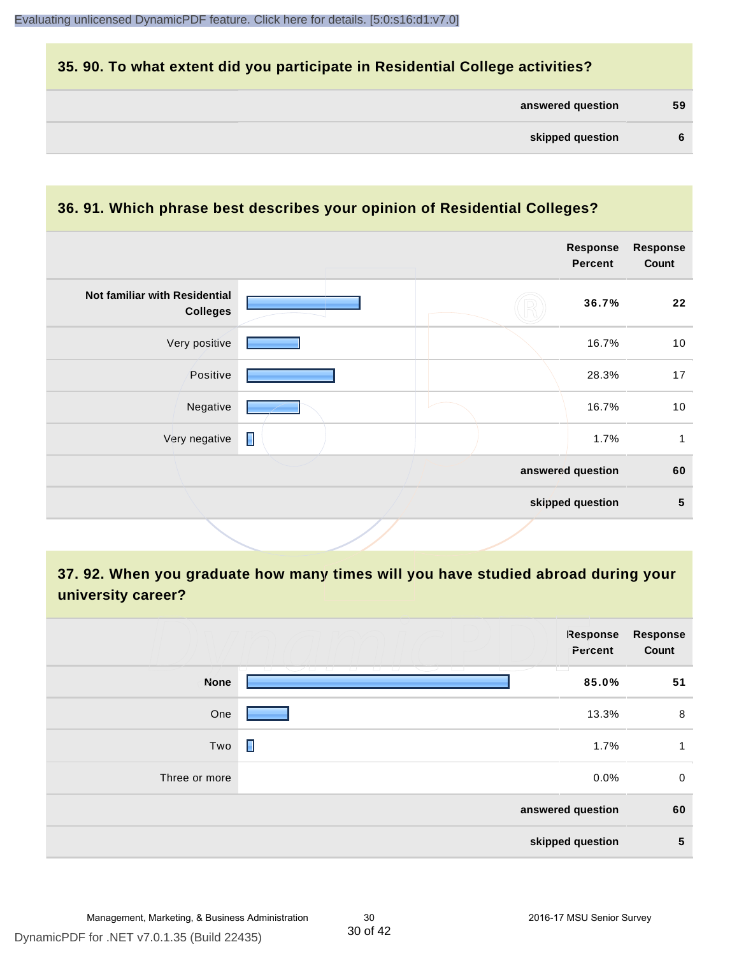#### **35. 90. To what extent did you participate in Residential College activities?**

| answered question | 59 |
|-------------------|----|
|-------------------|----|

# **36. 91. Which phrase best describes your opinion of Residential Colleges?**

|   | <b>Response</b><br><b>Percent</b> | <b>Response</b><br>Count              |
|---|-----------------------------------|---------------------------------------|
|   | 36.7%                             | 22                                    |
|   | 16.7%                             | 10                                    |
|   | 28.3%                             | 17                                    |
|   | 16.7%                             | 10                                    |
| П | 1.7%                              | 1                                     |
|   |                                   | 60                                    |
|   |                                   | $5\phantom{.0}$                       |
|   |                                   | answered question<br>skipped question |

# **37. 92. When you graduate how many times will you have studied abroad during your university career?**

|               | Response<br>Percent                               | <b>Response</b><br>Count |
|---------------|---------------------------------------------------|--------------------------|
| <b>None</b>   | <del>, , , , , , , , , , , ,</del><br>T.<br>85.0% | 51                       |
| One           | 13.3%                                             | 8                        |
| Two           | П<br>1.7%                                         | 1                        |
| Three or more | 0.0%                                              | $\mathbf 0$              |
|               | answered question                                 | 60                       |
|               | skipped question                                  | 5                        |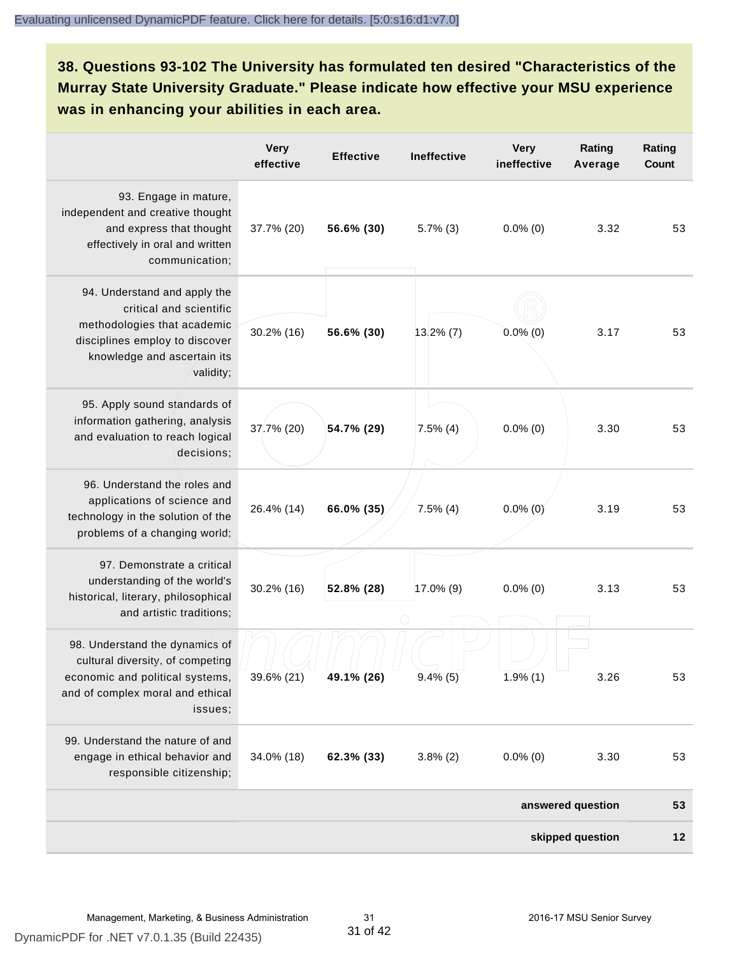# **38. Questions 93-102 The University has formulated ten desired "Characteristics of the Murray State University Graduate." Please indicate how effective your MSU experience was in enhancing your abilities in each area.**

|                                                                                                                                                                      | <b>Very</b><br>effective | <b>Effective</b> | Ineffective  | <b>Very</b><br>ineffective | Rating<br>Average | Rating<br>Count |
|----------------------------------------------------------------------------------------------------------------------------------------------------------------------|--------------------------|------------------|--------------|----------------------------|-------------------|-----------------|
| 93. Engage in mature,<br>independent and creative thought<br>and express that thought<br>effectively in oral and written<br>communication;                           | 37.7% (20)               | 56.6% (30)       | $5.7\%$ (3)  | $0.0\%$ (0)                | 3.32              | 53              |
| 94. Understand and apply the<br>critical and scientific<br>methodologies that academic<br>disciplines employ to discover<br>knowledge and ascertain its<br>validity; | 30.2% (16)               | 56.6% (30)       | $13.2\%$ (7) | $0.0\%$ (0)                | 3.17              | 53              |
| 95. Apply sound standards of<br>information gathering, analysis<br>and evaluation to reach logical<br>decisions;                                                     | 37.7% (20)               | 54.7% (29)       | $7.5\%$ (4)  | $0.0\%$ (0)                | 3.30              | 53              |
| 96. Understand the roles and<br>applications of science and<br>technology in the solution of the<br>problems of a changing world;                                    | 26.4% (14)               | 66.0% (35)       | $7.5\%$ (4)  | $0.0\%$ (0)                | 3.19              | 53              |
| 97. Demonstrate a critical<br>understanding of the world's<br>historical, literary, philosophical<br>and artistic traditions;                                        | $30.2\%$ (16)            | 52.8% (28)       | $17.0\%$ (9) | $0.0\%$ (0)                | 3.13              | 53              |
| 98. Understand the dynamics of<br>cultural diversity, of competing<br>economic and political systems,<br>and of complex moral and ethical<br>issues;                 | 39.6% (21)               | 49.1% (26)       | $9.4\%$ (5)  | $1.9\%$ (1)                | 3.26              | 53              |
| 99. Understand the nature of and<br>engage in ethical behavior and<br>responsible citizenship;                                                                       | 34.0% (18)               | 62.3% (33)       | $3.8\%$ (2)  | $0.0\%$ (0)                | 3.30              | 53              |
|                                                                                                                                                                      |                          |                  |              |                            | answered question | 53              |
|                                                                                                                                                                      |                          |                  |              |                            | skipped question  | 12              |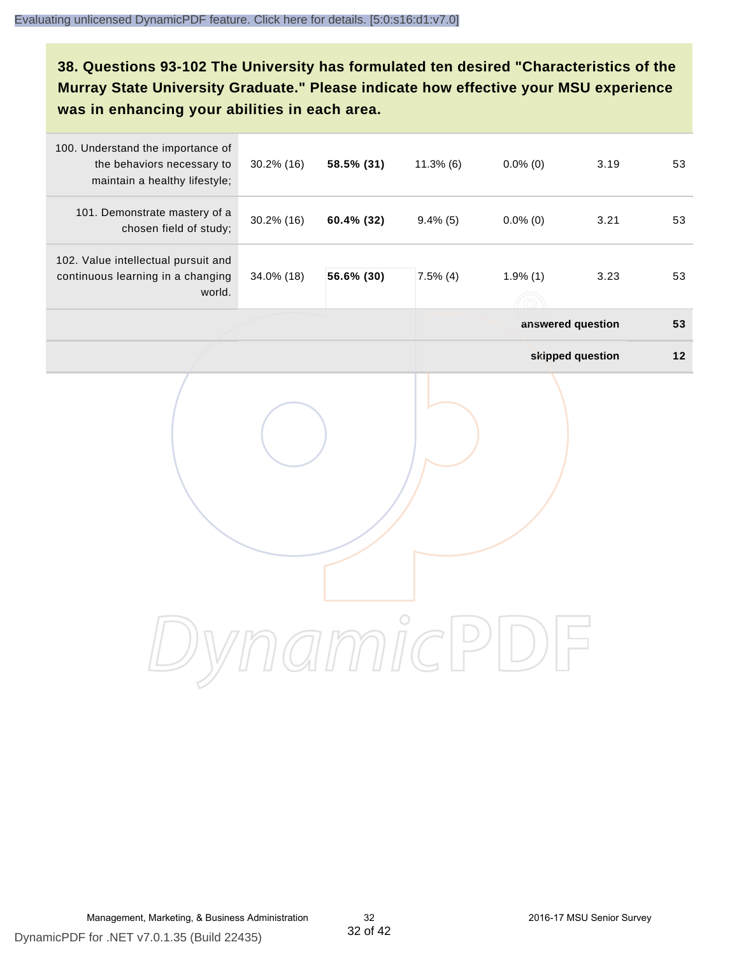# **38. Questions 93-102 The University has formulated ten desired "Characteristics of the Murray State University Graduate." Please indicate how effective your MSU experience was in enhancing your abilities in each area.**

| 100. Understand the importance of<br>the behaviors necessary to<br>maintain a healthy lifestyle; | 30.2% (16) | 58.5% (31) | $11.3\%$ (6) | $0.0\%$ (0)       | 3.19             | 53   |
|--------------------------------------------------------------------------------------------------|------------|------------|--------------|-------------------|------------------|------|
| 101. Demonstrate mastery of a<br>chosen field of study;                                          | 30.2% (16) | 60.4% (32) | $9.4\%$ (5)  | $0.0\%$ (0)       | 3.21             | 53   |
| 102. Value intellectual pursuit and<br>continuous learning in a changing<br>world.               | 34.0% (18) | 56.6% (30) | $7.5\%$ (4)  | 1.9%(1)           | 3.23             | 53   |
|                                                                                                  |            |            |              | answered question |                  | 53   |
|                                                                                                  |            |            |              |                   | skipped question | $12$ |
|                                                                                                  |            |            |              |                   |                  |      |
|                                                                                                  |            |            |              |                   |                  |      |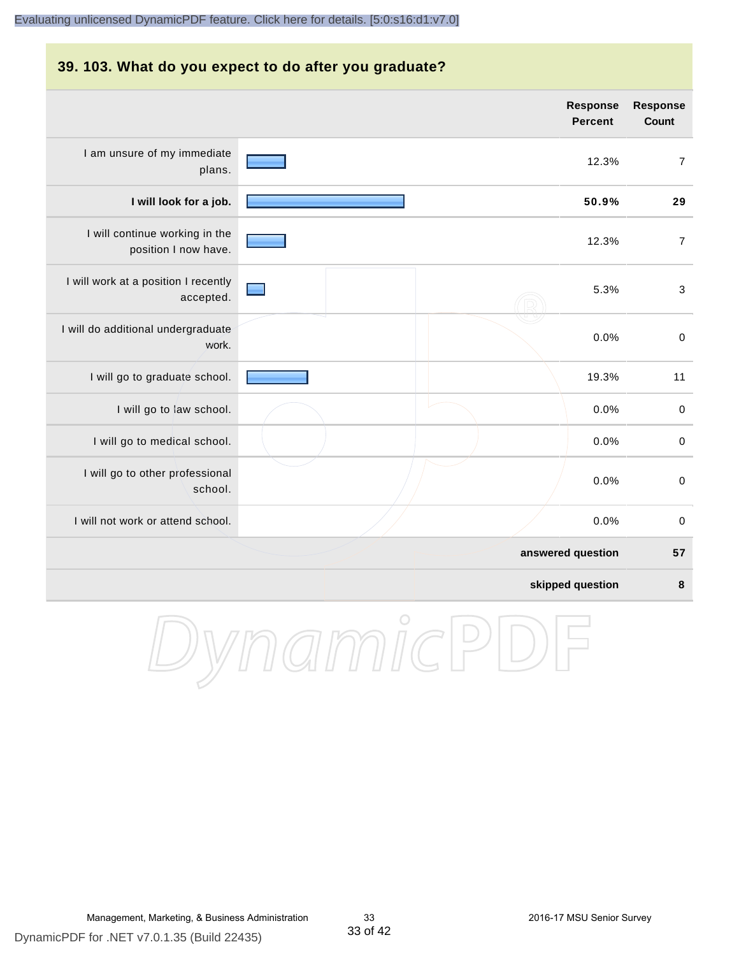# **39. 103. What do you expect to do after you graduate? answered question 57 skipped question 8 Response Percent Response Count** I am unsure of my immediate plans. 12.3% 7 **I will look for a job. 50.9% 29** I will continue working in the position I now have. 12.3% 7 I will work at a position I recently accepted. 5.3% 3 I will do additional undergraduate work. 0.0% 0 I will go to graduate school. **19.3%** 11 I will go to law school.  $\sim$  0.0% 0 I will go to medical school.  $\qquad \qquad \qquad$  0.0% 0 I will go to other professional school. 0.0% 0 I will not work or attend school. 0.0% 0

DynamicPD

DynamicPDF for .NET v7.0.1.35 (Build 22435)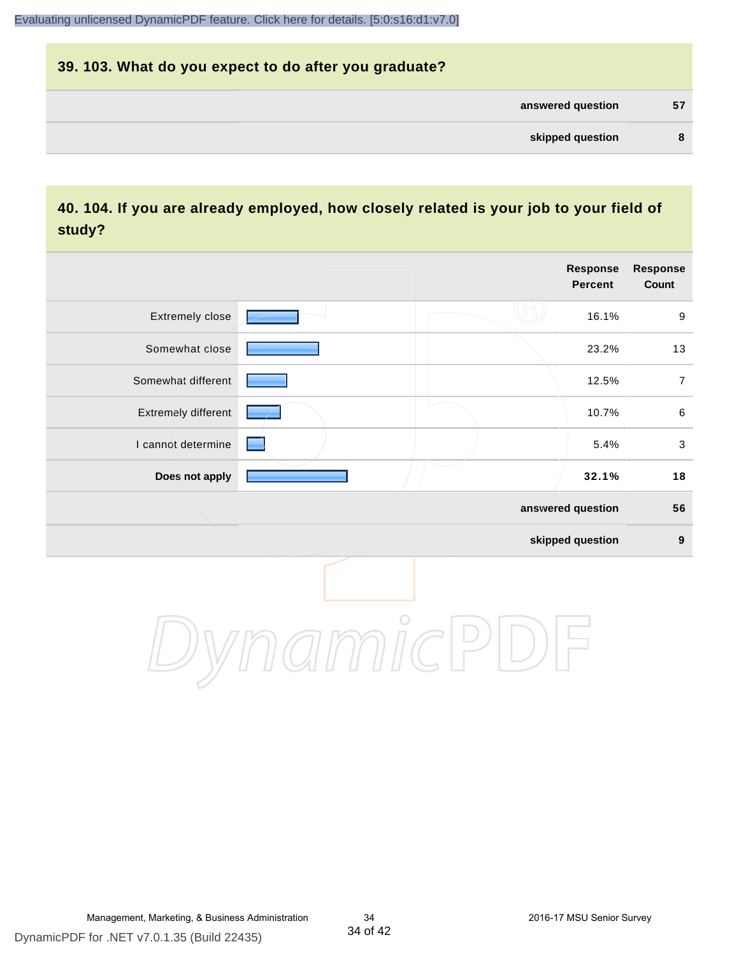# **39. 103. What do you expect to do after you graduate? answered question 57 skipped question 8**

#### **40. 104. If you are already employed, how closely related is your job to your field of study?**

|                     |            | <b>Response</b><br><b>Percent</b> | Response<br>Count |
|---------------------|------------|-----------------------------------|-------------------|
| Extremely close     |            | 16.1%                             | $\boldsymbol{9}$  |
| Somewhat close      |            | 23.2%                             | 13                |
| Somewhat different  |            | 12.5%                             | $\overline{7}$    |
| Extremely different |            | 10.7%                             | $\,6\,$           |
| I cannot determine  |            | 5.4%                              | $\mathbf{3}$      |
| Does not apply      |            | 32.1%                             | 18                |
|                     |            | answered question                 | 56                |
|                     |            | skipped question                  | $\boldsymbol{9}$  |
|                     | $\bigcirc$ |                                   |                   |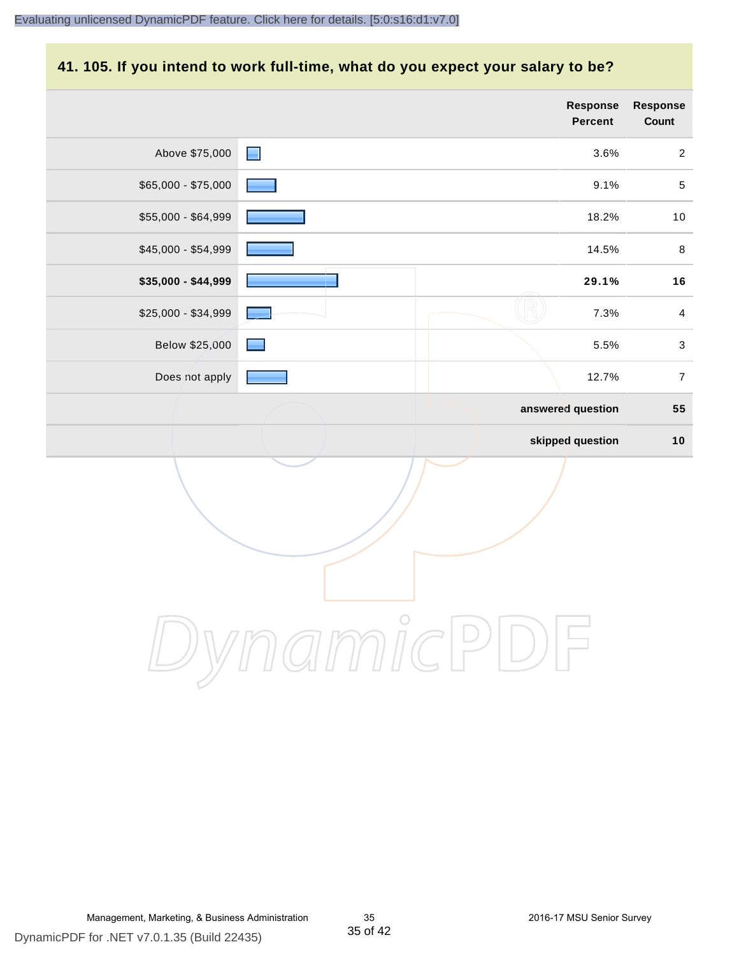#### **41. 105. If you intend to work full-time, what do you expect your salary to be?**

|                     |                | <b>Response</b><br>Percent | <b>Response</b><br>Count |
|---------------------|----------------|----------------------------|--------------------------|
| Above \$75,000      | $\blacksquare$ | 3.6%                       | $\boldsymbol{2}$         |
| $$65,000 - $75,000$ |                | 9.1%                       | $\sqrt{5}$               |
| \$55,000 - \$64,999 |                | 18.2%                      | $10\,$                   |
| $$45,000 - $54,999$ |                | 14.5%                      | $\bf 8$                  |
| \$35,000 - \$44,999 |                | 29.1%                      | 16                       |
| \$25,000 - \$34,999 |                | 7.3%                       | $\overline{4}$           |
| Below \$25,000      |                | 5.5%                       | $\mathfrak{S}$           |
| Does not apply      |                | 12.7%                      | $\overline{7}$           |
|                     |                | answered question          | 55                       |
|                     |                | skipped question           | $10$                     |
|                     |                |                            |                          |
|                     | $\bigcirc$     |                            |                          |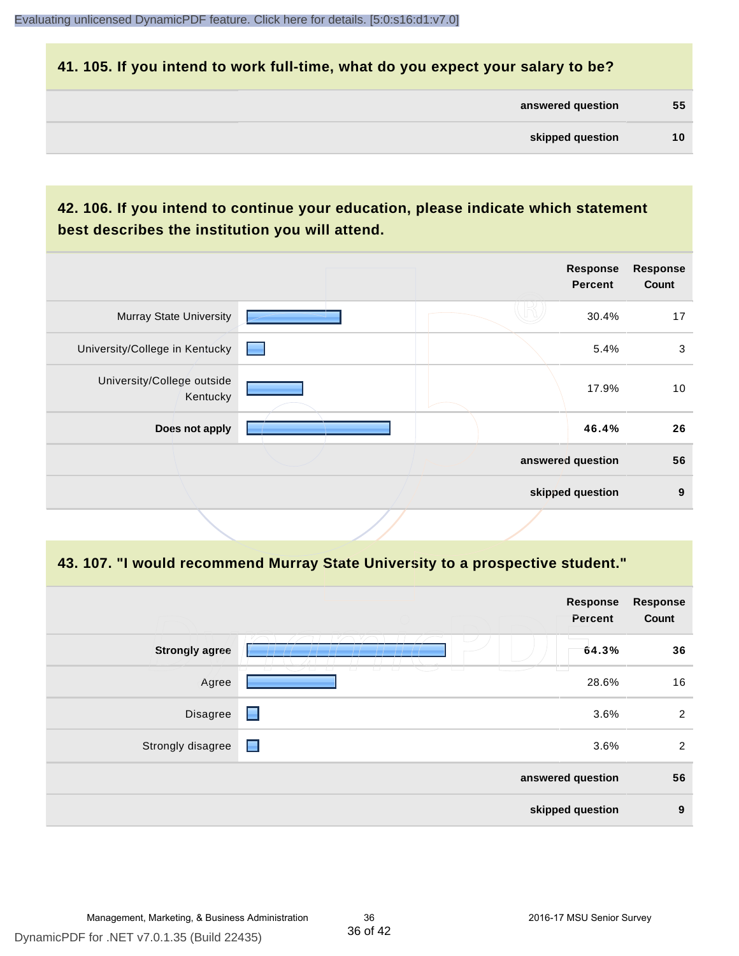#### **41. 105. If you intend to work full-time, what do you expect your salary to be?**

| answered question | 55 |
|-------------------|----|
|                   |    |

# **42. 106. If you intend to continue your education, please indicate which statement best describes the institution you will attend.**

|                                        |       | <b>Response</b><br>Percent | <b>Response</b><br>Count |
|----------------------------------------|-------|----------------------------|--------------------------|
| <b>Murray State University</b>         |       | 30.4%                      | 17                       |
| University/College in Kentucky         | a ser | 5.4%                       | 3                        |
| University/College outside<br>Kentucky |       | 17.9%                      | 10                       |
| Does not apply                         |       | 46.4%                      | 26                       |
|                                        |       | answered question          | 56                       |
|                                        |       | skipped question           | 9                        |
|                                        |       |                            |                          |

#### **43. 107. "I would recommend Murray State University to a prospective student."**

|                       |                                                                                                        | <b>Response</b><br>Percent | <b>Response</b><br>Count |
|-----------------------|--------------------------------------------------------------------------------------------------------|----------------------------|--------------------------|
| <b>Strongly agree</b> |                                                                                                        | 64.3%                      | 36                       |
| Agree                 | $\sqrt{2}$<br>$\overline{\phantom{0}}$<br>$\overline{\phantom{0}}$<br>$\overline{\phantom{0}}$<br>/ LI | 28.6%                      | 16                       |
| Disagree              | ■                                                                                                      | 3.6%                       | $\overline{c}$           |
| Strongly disagree     | Е                                                                                                      | 3.6%                       | 2                        |
|                       |                                                                                                        | answered question          | 56                       |
|                       |                                                                                                        | skipped question           | 9                        |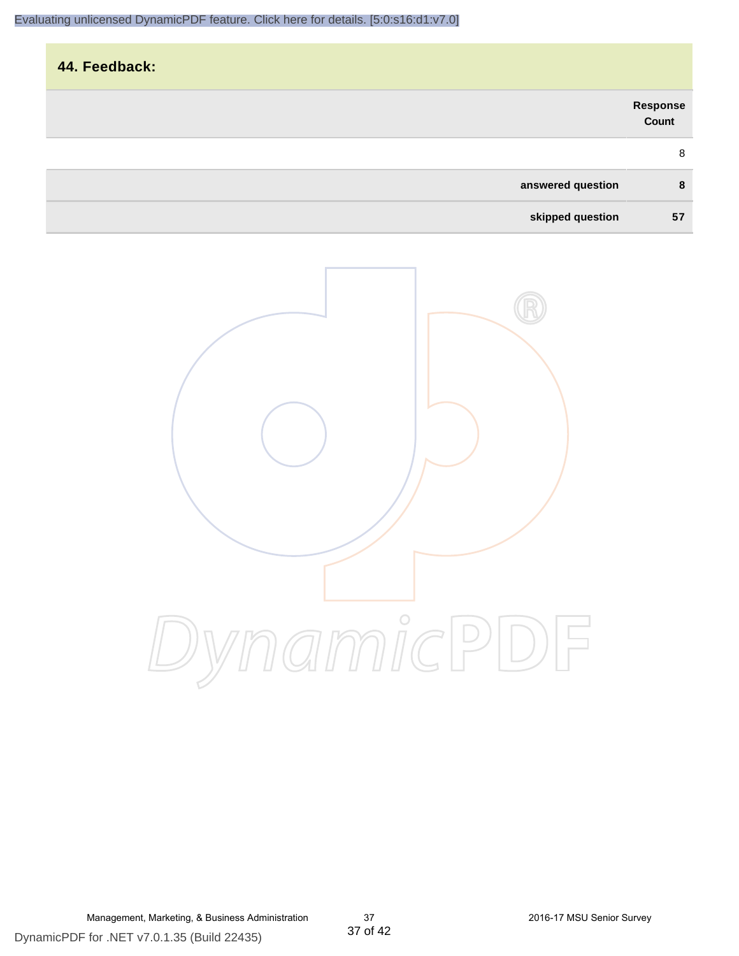| 44. Feedback:     |                   |
|-------------------|-------------------|
|                   | Response<br>Count |
|                   | 8                 |
| answered question | 8                 |
| skipped question  | 57                |

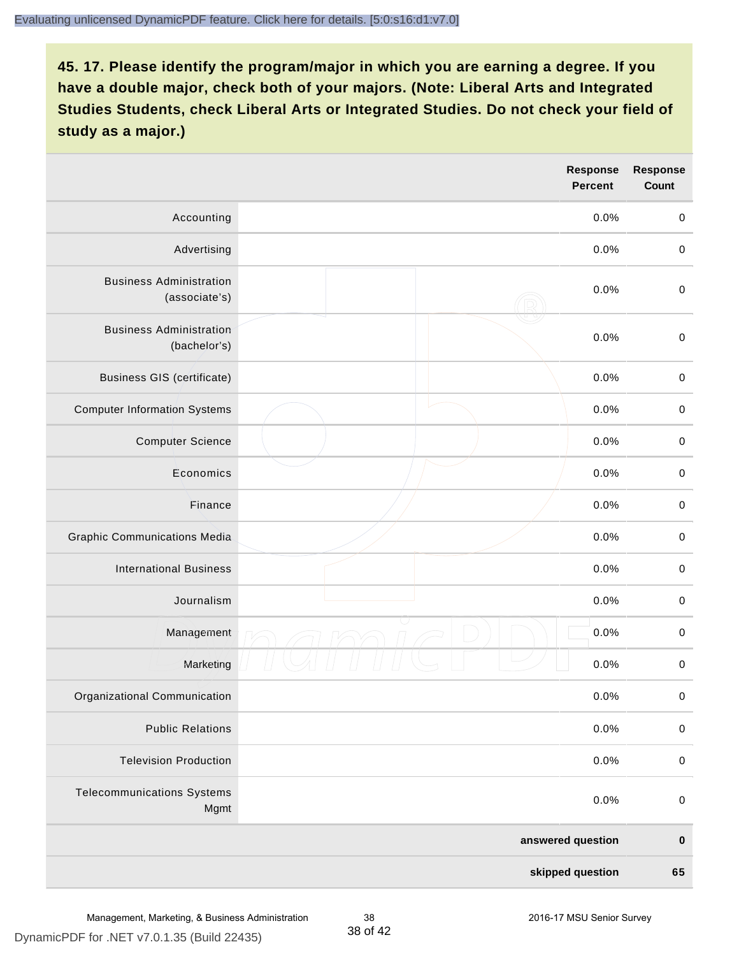|                                                 | <b>Response</b><br><b>Percent</b> | <b>Response</b><br>Count |
|-------------------------------------------------|-----------------------------------|--------------------------|
| Accounting                                      | 0.0%                              | $\mathbf 0$              |
| Advertising                                     | 0.0%                              | $\pmb{0}$                |
| <b>Business Administration</b><br>(associate's) | 0.0%                              | $\pmb{0}$                |
| <b>Business Administration</b><br>(bachelor's)  | 0.0%                              | $\pmb{0}$                |
| <b>Business GIS (certificate)</b>               | 0.0%                              | $\mathbf 0$              |
| <b>Computer Information Systems</b>             | 0.0%                              | $\pmb{0}$                |
| <b>Computer Science</b>                         | 0.0%                              | $\mathbf 0$              |
| Economics                                       | 0.0%                              | $\pmb{0}$                |
| Finance                                         | 0.0%                              | $\pmb{0}$                |
| <b>Graphic Communications Media</b>             | 0.0%                              | $\mathbf 0$              |
| <b>International Business</b>                   | 0.0%                              | $\pmb{0}$                |
| Journalism                                      | 0.0%                              | $\mathbf 0$              |
| Management                                      | 0.0%                              | $\pmb{0}$                |
| Marketing                                       | 0.0%                              | $\,0\,$                  |
| Organizational Communication                    | 0.0%                              | $\pmb{0}$                |
| <b>Public Relations</b>                         | 0.0%                              | $\mathbf 0$              |
| <b>Television Production</b>                    | 0.0%                              | $\mathsf 0$              |
| <b>Telecommunications Systems</b><br>Mgmt       | 0.0%                              | $\mathbf 0$              |
|                                                 | answered question                 | $\pmb{0}$                |
|                                                 | skipped question                  | 65                       |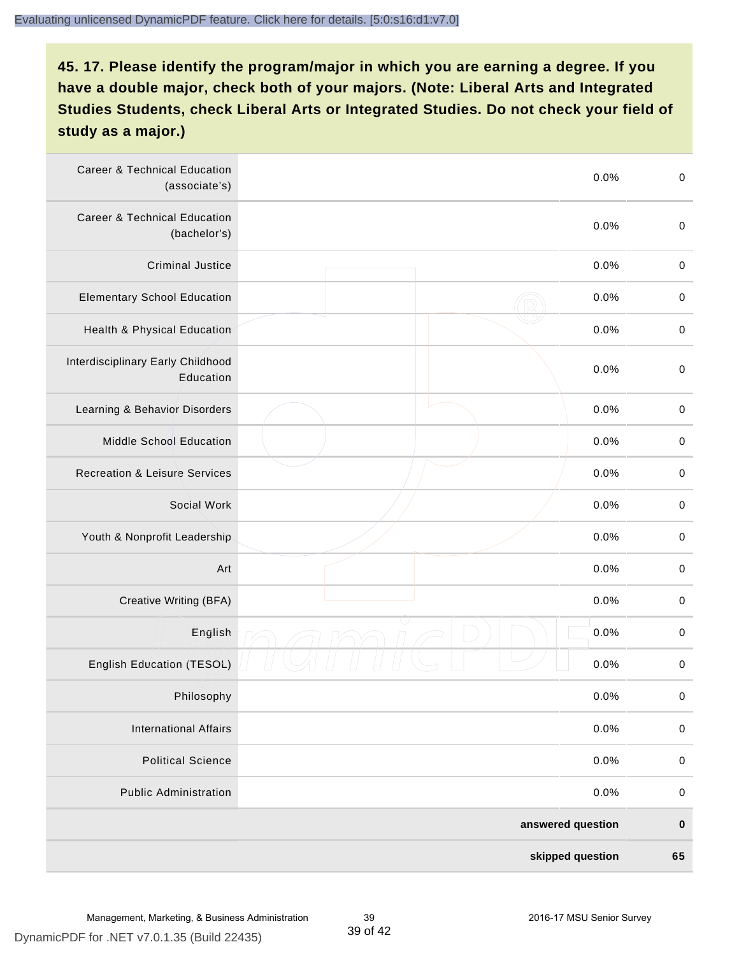| <b>Career &amp; Technical Education</b><br>(associate's) | 0.0%              | $\pmb{0}$   |
|----------------------------------------------------------|-------------------|-------------|
| <b>Career &amp; Technical Education</b><br>(bachelor's)  | 0.0%              | $\mathbf 0$ |
| <b>Criminal Justice</b>                                  | 0.0%              | $\,0\,$     |
| <b>Elementary School Education</b>                       | 0.0%              | $\,0\,$     |
| Health & Physical Education                              | 0.0%              | $\pmb{0}$   |
| Interdisciplinary Early Childhood<br>Education           | 0.0%              | $\pmb{0}$   |
| Learning & Behavior Disorders                            | 0.0%              | $\,0\,$     |
| <b>Middle School Education</b>                           | 0.0%              | $\pmb{0}$   |
| <b>Recreation &amp; Leisure Services</b>                 | 0.0%              | $\pmb{0}$   |
| Social Work                                              | 0.0%              | $\,0\,$     |
| Youth & Nonprofit Leadership                             | 0.0%              | $\,0\,$     |
| Art                                                      | 0.0%              | $\,0\,$     |
| Creative Writing (BFA)                                   | 0.0%              | $\mathbf 0$ |
| English                                                  | 0.0%              | $\,0\,$     |
| English Education (TESOL)                                | 0.0%              | 0           |
| Philosophy                                               | 0.0%              | 0           |
| <b>International Affairs</b>                             | 0.0%              | $\pmb{0}$   |
| <b>Political Science</b>                                 | 0.0%              | $\pmb{0}$   |
| <b>Public Administration</b>                             | 0.0%              | $\pmb{0}$   |
|                                                          | answered question | $\pmb{0}$   |
|                                                          | skipped question  | 65          |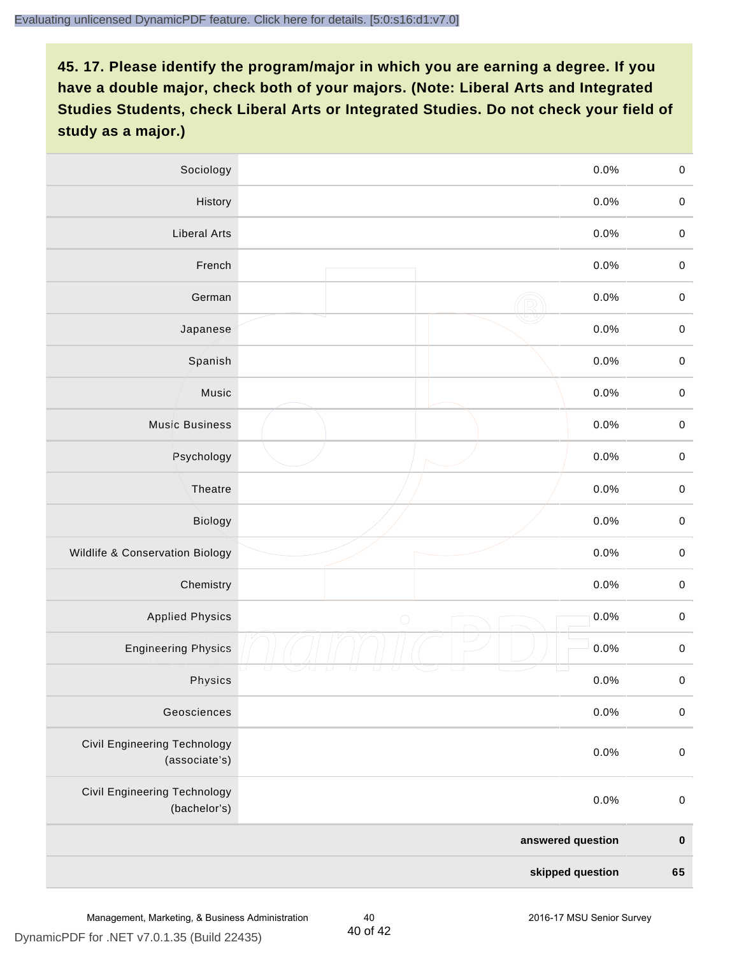| Sociology                                     |            | 0.0%              | $\mathbf 0$ |
|-----------------------------------------------|------------|-------------------|-------------|
| History                                       |            | $0.0\%$           | $\mathbf 0$ |
| <b>Liberal Arts</b>                           |            | 0.0%              | $\mathbf 0$ |
| French                                        |            | 0.0%              | $\pmb{0}$   |
| German                                        |            | 0.0%              | $\mathbf 0$ |
| Japanese                                      |            | 0.0%              | $\mathsf 0$ |
| Spanish                                       |            | 0.0%              | $\mathbf 0$ |
| Music                                         |            | 0.0%              | $\mathbf 0$ |
| <b>Music Business</b>                         |            | 0.0%              | $\pmb{0}$   |
| Psychology                                    |            | 0.0%              | $\mathbf 0$ |
| Theatre                                       |            | 0.0%              | $\mathbf 0$ |
| Biology                                       |            | 0.0%              | $\mathbf 0$ |
| Wildlife & Conservation Biology               |            | 0.0%              | $\mathbf 0$ |
| Chemistry                                     |            | 0.0%              | $\pmb{0}$   |
| <b>Applied Physics</b>                        | $\bigcirc$ | 0.0%              | $\mathbf 0$ |
| <b>Engineering Physics</b>                    |            | 0.0%              | $\mathbf 0$ |
| Physics                                       |            | 0.0%              | $\mathbf 0$ |
| Geosciences                                   |            | 0.0%              | $\mathbf 0$ |
| Civil Engineering Technology<br>(associate's) |            | 0.0%              | $\pmb{0}$   |
| Civil Engineering Technology<br>(bachelor's)  |            | 0.0%              | $\pmb{0}$   |
|                                               |            | answered question | $\pmb{0}$   |
|                                               |            | skipped question  | 65          |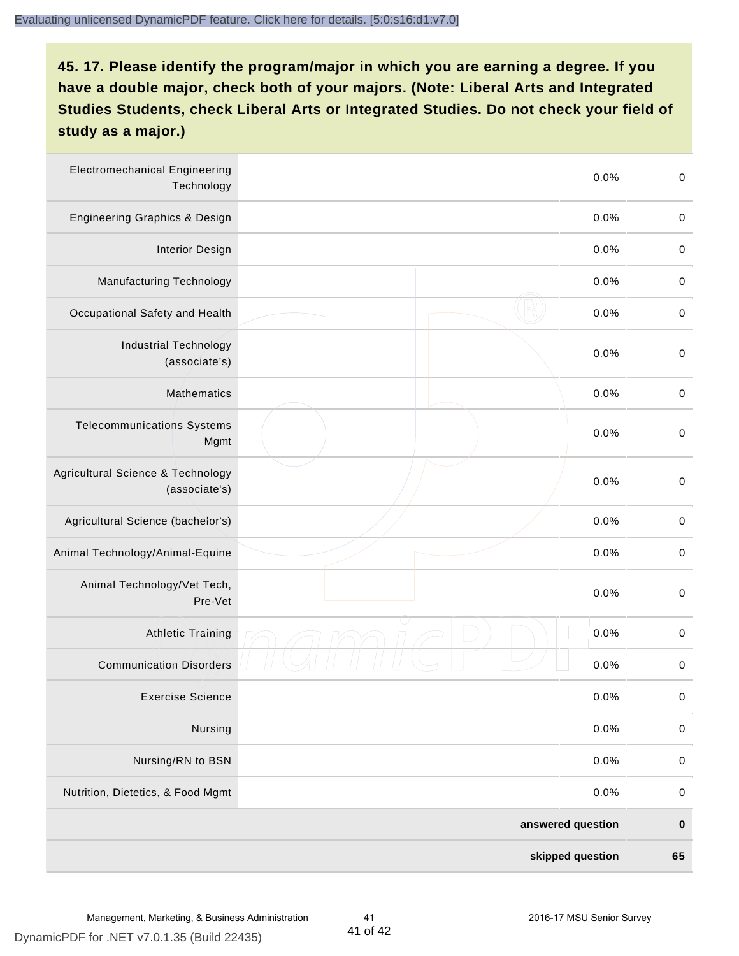| <b>Electromechanical Engineering</b><br>Technology | 0.0%              | $\mathbf 0$ |
|----------------------------------------------------|-------------------|-------------|
| <b>Engineering Graphics &amp; Design</b>           | 0.0%              | $\mathbf 0$ |
| <b>Interior Design</b>                             | 0.0%              | $\,0\,$     |
| Manufacturing Technology                           | 0.0%              | $\,0\,$     |
| Occupational Safety and Health                     | 0.0%              | $\pmb{0}$   |
| <b>Industrial Technology</b><br>(associate's)      | 0.0%              | $\,0\,$     |
| <b>Mathematics</b>                                 | 0.0%              | $\,0\,$     |
| <b>Telecommunications Systems</b><br>Mgmt          | 0.0%              | $\,0\,$     |
| Agricultural Science & Technology<br>(associate's) | 0.0%              | $\mathbf 0$ |
| Agricultural Science (bachelor's)                  | 0.0%              | $\mathbf 0$ |
| Animal Technology/Animal-Equine                    | 0.0%              | $\,0\,$     |
| Animal Technology/Vet Tech,<br>Pre-Vet             | 0.0%              | $\,0\,$     |
| Athletic Training                                  | 0.0%              | $\pmb{0}$   |
| <b>Communication Disorders</b>                     | 0.0%              | $\pmb{0}$   |
| <b>Exercise Science</b>                            | 0.0%              | $\pmb{0}$   |
| Nursing                                            | 0.0%              | $\mathbf 0$ |
| Nursing/RN to BSN                                  | 0.0%              | $\pmb{0}$   |
| Nutrition, Dietetics, & Food Mgmt                  | 0.0%              | $\,0\,$     |
|                                                    | answered question | $\pmb{0}$   |
|                                                    | skipped question  | 65          |